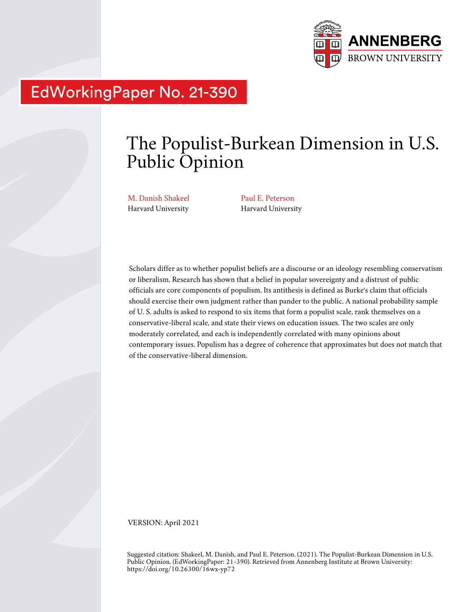

# EdWorkingPaper No. 21-390

# The Populist-Burkean Dimension in U.S. Public Opinion

M. Danish Shakeel Harvard University

Paul E. Peterson Harvard University

Scholars differ as to whether populist beliefs are a discourse or an ideology resembling conservatism or liberalism. Research has shown that a belief in popular sovereignty and a distrust of public officials are core components of populism. Its antithesis is defined as Burke's claim that officials should exercise their own judgment rather than pander to the public. A national probability sample of U. S. adults is asked to respond to six items that form a populist scale, rank themselves on a conservative-liberal scale, and state their views on education issues. The two scales are only moderately correlated, and each is independently correlated with many opinions about contemporary issues. Populism has a degree of coherence that approximates but does not match that of the conservative-liberal dimension.

VERSION: April 2021

Suggested citation: Shakeel, M. Danish, and Paul E. Peterson. (2021). The Populist-Burkean Dimension in U.S. Public Opinion. (EdWorkingPaper: 21-390). Retrieved from Annenberg Institute at Brown University: https://doi.org/10.26300/16wx-yp72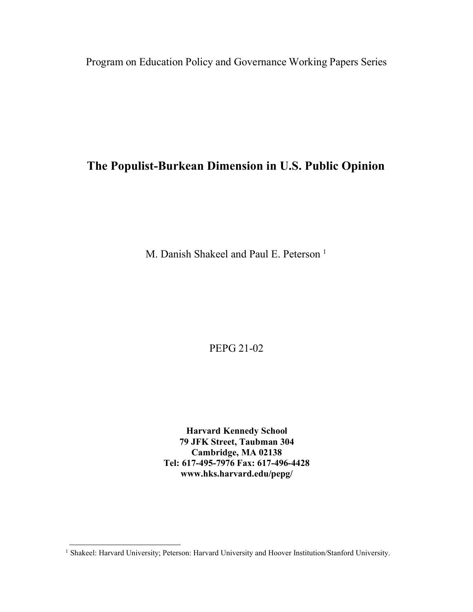Program on Education Policy and Governance Working Papers Series

# **The Populist-Burkean Dimension in U.S. Public Opinion**

M. Danish Shakeel and Paul E. Peterson<sup>1</sup>

PEPG 21-02

**Harvard Kennedy School 79 JFK Street, Taubman 304 Cambridge, MA 02138 Tel: 617-495-7976 Fax: 617-496-4428 [www.hks.harvard.edu/pepg/](http://www.hks.harvard.edu/pepg/)**

<sup>&</sup>lt;sup>1</sup> Shakeel: Harvard University; Peterson: Harvard University and Hoover Institution/Stanford University.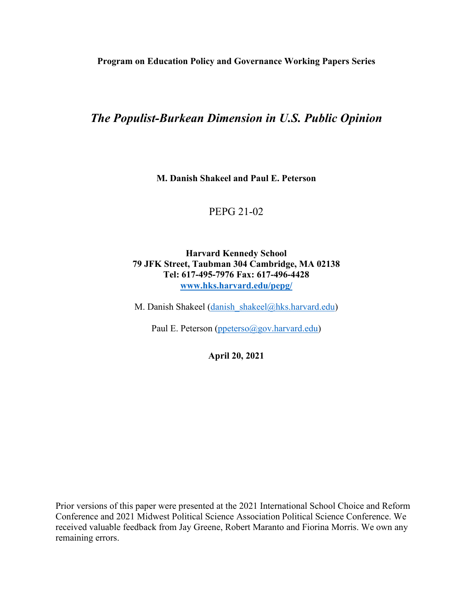**Program on Education Policy and Governance Working Papers Series**

# *The Populist-Burkean Dimension in U.S. Public Opinion*

**M. Danish Shakeel and Paul E. Peterson**

# PEPG 21-02

### **Harvard Kennedy School 79 JFK Street, Taubman 304 Cambridge, MA 02138 Tel: 617-495-7976 Fax: 617-496-4428 [www.hks.harvard.edu/pepg/](http://www.hks.harvard.edu/pepg/)**

M. Danish Shakeel (danish shakeel@hks.harvard.edu)

Paul E. Peterson [\(ppeterso@gov.harvard.edu\)](mailto:ppeterso@gov.harvard.edu)

**April 20, 2021**

Prior versions of this paper were presented at the 2021 International School Choice and Reform Conference and 2021 Midwest Political Science Association Political Science Conference. We received valuable feedback from Jay Greene, Robert Maranto and Fiorina Morris. We own any remaining errors.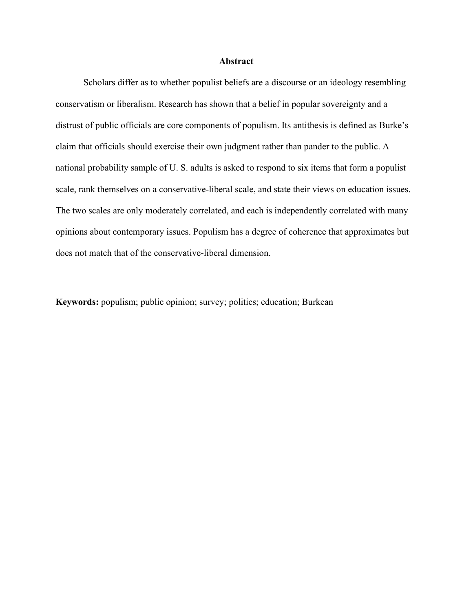### **Abstract**

Scholars differ as to whether populist beliefs are a discourse or an ideology resembling conservatism or liberalism. Research has shown that a belief in popular sovereignty and a distrust of public officials are core components of populism. Its antithesis is defined as Burke's claim that officials should exercise their own judgment rather than pander to the public. A national probability sample of U. S. adults is asked to respond to six items that form a populist scale, rank themselves on a conservative-liberal scale, and state their views on education issues. The two scales are only moderately correlated, and each is independently correlated with many opinions about contemporary issues. Populism has a degree of coherence that approximates but does not match that of the conservative-liberal dimension.

**Keywords:** populism; public opinion; survey; politics; education; Burkean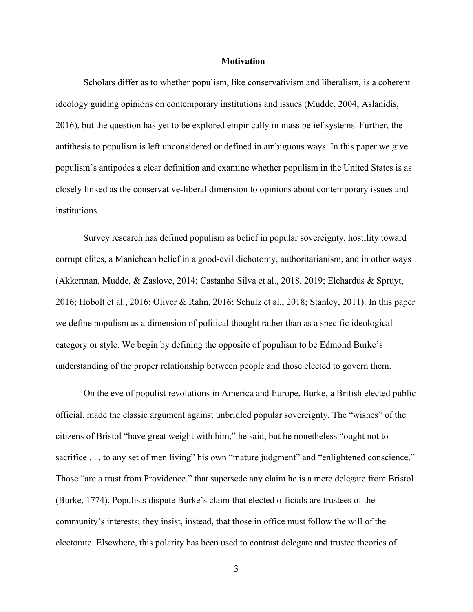#### **Motivation**

Scholars differ as to whether populism, like conservativism and liberalism, is a coherent ideology guiding opinions on contemporary institutions and issues (Mudde, 2004; Aslanidis, 2016), but the question has yet to be explored empirically in mass belief systems. Further, the antithesis to populism is left unconsidered or defined in ambiguous ways. In this paper we give populism's antipodes a clear definition and examine whether populism in the United States is as closely linked as the conservative-liberal dimension to opinions about contemporary issues and institutions.

Survey research has defined populism as belief in popular sovereignty, hostility toward corrupt elites, a Manichean belief in a good-evil dichotomy, authoritarianism, and in other ways (Akkerman, Mudde, & Zaslove, 2014; Castanho Silva et al., 2018, 2019; Elchardus & Spruyt, 2016; Hobolt et al., 2016; Oliver & Rahn, 2016; Schulz et al., 2018; Stanley, 2011). In this paper we define populism as a dimension of political thought rather than as a specific ideological category or style. We begin by defining the opposite of populism to be Edmond Burke's understanding of the proper relationship between people and those elected to govern them.

On the eve of populist revolutions in America and Europe, Burke, a British elected public official, made the classic argument against unbridled popular sovereignty. The "wishes" of the citizens of Bristol "have great weight with him," he said, but he nonetheless "ought not to sacrifice . . . to any set of men living" his own "mature judgment" and "enlightened conscience." Those "are a trust from Providence." that supersede any claim he is a mere delegate from Bristol (Burke, 1774). Populists dispute Burke's claim that elected officials are trustees of the community's interests; they insist, instead, that those in office must follow the will of the electorate. Elsewhere, this polarity has been used to contrast delegate and trustee theories of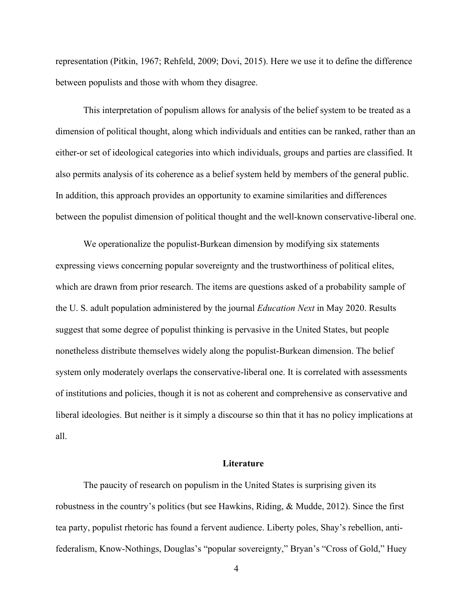representation (Pitkin, 1967; Rehfeld, 2009; Dovi, 2015). Here we use it to define the difference between populists and those with whom they disagree.

This interpretation of populism allows for analysis of the belief system to be treated as a dimension of political thought, along which individuals and entities can be ranked, rather than an either-or set of ideological categories into which individuals, groups and parties are classified. It also permits analysis of its coherence as a belief system held by members of the general public. In addition, this approach provides an opportunity to examine similarities and differences between the populist dimension of political thought and the well-known conservative-liberal one.

We operationalize the populist-Burkean dimension by modifying six statements expressing views concerning popular sovereignty and the trustworthiness of political elites, which are drawn from prior research. The items are questions asked of a probability sample of the U. S. adult population administered by the journal *Education Next* in May 2020. Results suggest that some degree of populist thinking is pervasive in the United States, but people nonetheless distribute themselves widely along the populist-Burkean dimension. The belief system only moderately overlaps the conservative-liberal one. It is correlated with assessments of institutions and policies, though it is not as coherent and comprehensive as conservative and liberal ideologies. But neither is it simply a discourse so thin that it has no policy implications at all.

### **Literature**

The paucity of research on populism in the United States is surprising given its robustness in the country's politics (but see Hawkins, Riding, & Mudde, 2012). Since the first tea party, populist rhetoric has found a fervent audience. Liberty poles, Shay's rebellion, antifederalism, Know-Nothings, Douglas's "popular sovereignty," Bryan's "Cross of Gold," Huey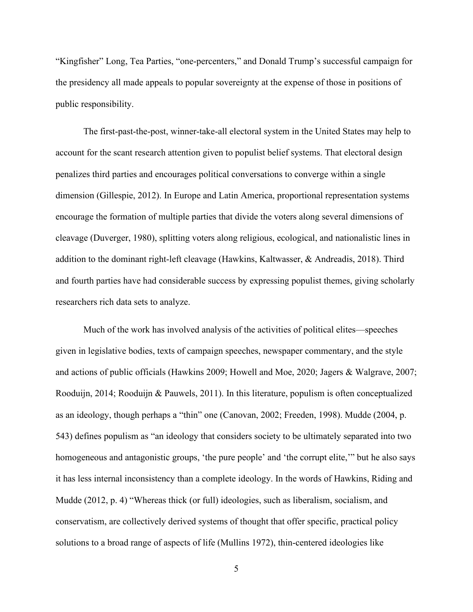"Kingfisher" Long, Tea Parties, "one-percenters," and Donald Trump's successful campaign for the presidency all made appeals to popular sovereignty at the expense of those in positions of public responsibility.

The first-past-the-post, winner-take-all electoral system in the United States may help to account for the scant research attention given to populist belief systems. That electoral design penalizes third parties and encourages political conversations to converge within a single dimension (Gillespie, 2012). In Europe and Latin America, proportional representation systems encourage the formation of multiple parties that divide the voters along several dimensions of cleavage (Duverger, 1980), splitting voters along religious, ecological, and nationalistic lines in addition to the dominant right-left cleavage (Hawkins, Kaltwasser, & Andreadis, 2018). Third and fourth parties have had considerable success by expressing populist themes, giving scholarly researchers rich data sets to analyze.

Much of the work has involved analysis of the activities of political elites—speeches given in legislative bodies, texts of campaign speeches, newspaper commentary, and the style and actions of public officials (Hawkins 2009; Howell and Moe, 2020; Jagers & Walgrave, 2007; Rooduijn, 2014; Rooduijn & Pauwels, 2011). In this literature, populism is often conceptualized as an ideology, though perhaps a "thin" one (Canovan, 2002; Freeden, 1998). Mudde (2004, p. 543) defines populism as "an ideology that considers society to be ultimately separated into two homogeneous and antagonistic groups, 'the pure people' and 'the corrupt elite,'" but he also says it has less internal inconsistency than a complete ideology. In the words of Hawkins, Riding and Mudde (2012, p. 4) "Whereas thick (or full) ideologies, such as liberalism, socialism, and conservatism, are collectively derived systems of thought that offer specific, practical policy solutions to a broad range of aspects of life (Mullins 1972), thin-centered ideologies like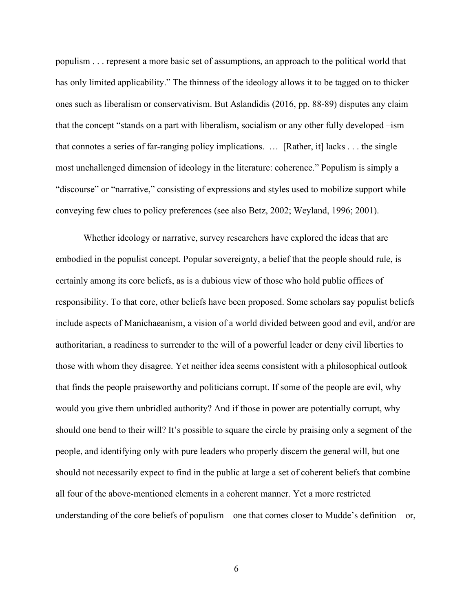populism . . . represent a more basic set of assumptions, an approach to the political world that has only limited applicability." The thinness of the ideology allows it to be tagged on to thicker ones such as liberalism or conservativism. But Aslandidis (2016, pp. 88-89) disputes any claim that the concept "stands on a part with liberalism, socialism or any other fully developed –ism that connotes a series of far-ranging policy implications. … [Rather, it] lacks . . . the single most unchallenged dimension of ideology in the literature: coherence." Populism is simply a "discourse" or "narrative," consisting of expressions and styles used to mobilize support while conveying few clues to policy preferences (see also Betz, 2002; Weyland, 1996; 2001).

Whether ideology or narrative, survey researchers have explored the ideas that are embodied in the populist concept. Popular sovereignty, a belief that the people should rule, is certainly among its core beliefs, as is a dubious view of those who hold public offices of responsibility. To that core, other beliefs have been proposed. Some scholars say populist beliefs include aspects of Manichaeanism, a vision of a world divided between good and evil, and/or are authoritarian, a readiness to surrender to the will of a powerful leader or deny civil liberties to those with whom they disagree. Yet neither idea seems consistent with a philosophical outlook that finds the people praiseworthy and politicians corrupt. If some of the people are evil, why would you give them unbridled authority? And if those in power are potentially corrupt, why should one bend to their will? It's possible to square the circle by praising only a segment of the people, and identifying only with pure leaders who properly discern the general will, but one should not necessarily expect to find in the public at large a set of coherent beliefs that combine all four of the above-mentioned elements in a coherent manner. Yet a more restricted understanding of the core beliefs of populism—one that comes closer to Mudde's definition—or,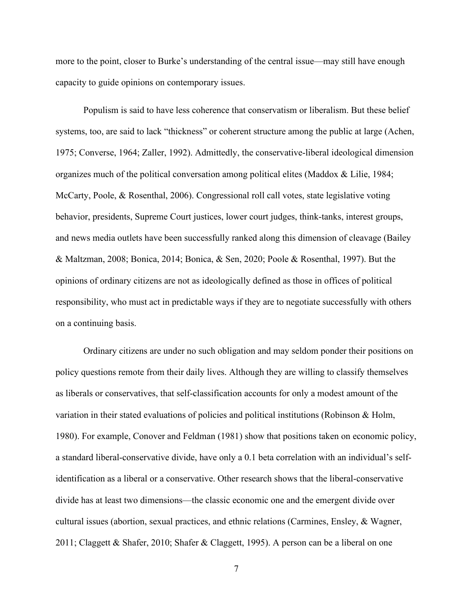more to the point, closer to Burke's understanding of the central issue—may still have enough capacity to guide opinions on contemporary issues.

Populism is said to have less coherence that conservatism or liberalism. But these belief systems, too, are said to lack "thickness" or coherent structure among the public at large (Achen, 1975; Converse, 1964; Zaller, 1992). Admittedly, the conservative-liberal ideological dimension organizes much of the political conversation among political elites (Maddox & Lilie, 1984; McCarty, Poole, & Rosenthal, 2006). Congressional roll call votes, state legislative voting behavior, presidents, Supreme Court justices, lower court judges, think-tanks, interest groups, and news media outlets have been successfully ranked along this dimension of cleavage (Bailey & Maltzman, 2008; Bonica, 2014; Bonica, & Sen, 2020; Poole & Rosenthal, 1997). But the opinions of ordinary citizens are not as ideologically defined as those in offices of political responsibility, who must act in predictable ways if they are to negotiate successfully with others on a continuing basis.

Ordinary citizens are under no such obligation and may seldom ponder their positions on policy questions remote from their daily lives. Although they are willing to classify themselves as liberals or conservatives, that self-classification accounts for only a modest amount of the variation in their stated evaluations of policies and political institutions (Robinson & Holm, 1980). For example, Conover and Feldman (1981) show that positions taken on economic policy, a standard liberal-conservative divide, have only a 0.1 beta correlation with an individual's selfidentification as a liberal or a conservative. Other research shows that the liberal-conservative divide has at least two dimensions—the classic economic one and the emergent divide over cultural issues (abortion, sexual practices, and ethnic relations (Carmines, Ensley, & Wagner, 2011; Claggett & Shafer, 2010; Shafer & Claggett, 1995). A person can be a liberal on one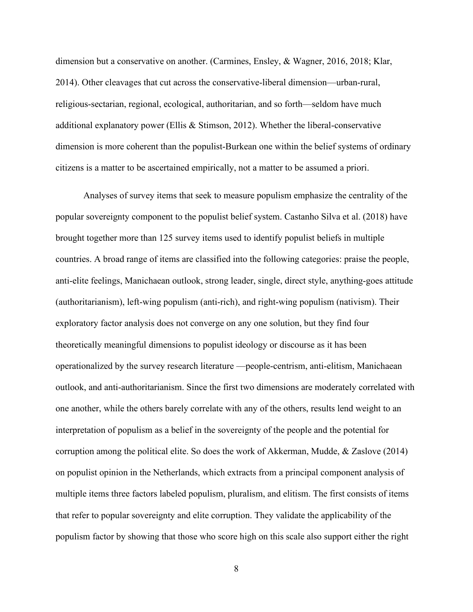dimension but a conservative on another. (Carmines, Ensley, & Wagner, 2016, 2018; Klar, 2014). Other cleavages that cut across the conservative-liberal dimension—urban-rural, religious-sectarian, regional, ecological, authoritarian, and so forth—seldom have much additional explanatory power (Ellis & Stimson, 2012). Whether the liberal-conservative dimension is more coherent than the populist-Burkean one within the belief systems of ordinary citizens is a matter to be ascertained empirically, not a matter to be assumed a priori.

Analyses of survey items that seek to measure populism emphasize the centrality of the popular sovereignty component to the populist belief system. Castanho Silva et al. (2018) have brought together more than 125 survey items used to identify populist beliefs in multiple countries. A broad range of items are classified into the following categories: praise the people, anti-elite feelings, Manichaean outlook, strong leader, single, direct style, anything-goes attitude (authoritarianism), left-wing populism (anti-rich), and right-wing populism (nativism). Their exploratory factor analysis does not converge on any one solution, but they find four theoretically meaningful dimensions to populist ideology or discourse as it has been operationalized by the survey research literature —people-centrism, anti-elitism, Manichaean outlook, and anti-authoritarianism. Since the first two dimensions are moderately correlated with one another, while the others barely correlate with any of the others, results lend weight to an interpretation of populism as a belief in the sovereignty of the people and the potential for corruption among the political elite. So does the work of Akkerman, Mudde, & Zaslove (2014) on populist opinion in the Netherlands, which extracts from a principal component analysis of multiple items three factors labeled populism, pluralism, and elitism. The first consists of items that refer to popular sovereignty and elite corruption. They validate the applicability of the populism factor by showing that those who score high on this scale also support either the right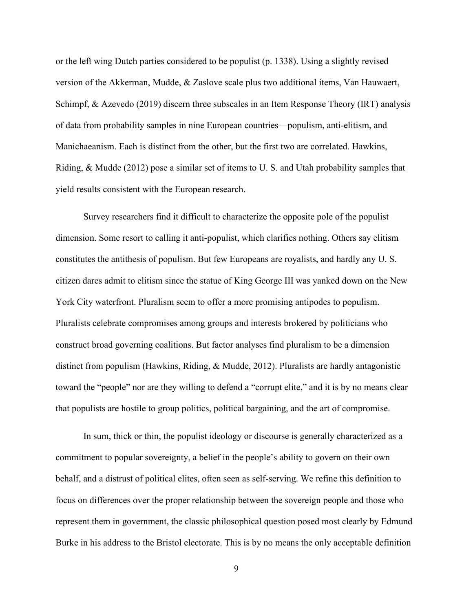or the left wing Dutch parties considered to be populist (p. 1338). Using a slightly revised version of the Akkerman, Mudde, & Zaslove scale plus two additional items, Van Hauwaert, Schimpf, & Azevedo (2019) discern three subscales in an Item Response Theory (IRT) analysis of data from probability samples in nine European countries—populism, anti-elitism, and Manichaeanism. Each is distinct from the other, but the first two are correlated. Hawkins, Riding, & Mudde (2012) pose a similar set of items to U. S. and Utah probability samples that yield results consistent with the European research.

Survey researchers find it difficult to characterize the opposite pole of the populist dimension. Some resort to calling it anti-populist, which clarifies nothing. Others say elitism constitutes the antithesis of populism. But few Europeans are royalists, and hardly any U. S. citizen dares admit to elitism since the statue of King George III was yanked down on the New York City waterfront. Pluralism seem to offer a more promising antipodes to populism. Pluralists celebrate compromises among groups and interests brokered by politicians who construct broad governing coalitions. But factor analyses find pluralism to be a dimension distinct from populism (Hawkins, Riding, & Mudde, 2012). Pluralists are hardly antagonistic toward the "people" nor are they willing to defend a "corrupt elite," and it is by no means clear that populists are hostile to group politics, political bargaining, and the art of compromise.

In sum, thick or thin, the populist ideology or discourse is generally characterized as a commitment to popular sovereignty, a belief in the people's ability to govern on their own behalf, and a distrust of political elites, often seen as self-serving. We refine this definition to focus on differences over the proper relationship between the sovereign people and those who represent them in government, the classic philosophical question posed most clearly by Edmund Burke in his address to the Bristol electorate. This is by no means the only acceptable definition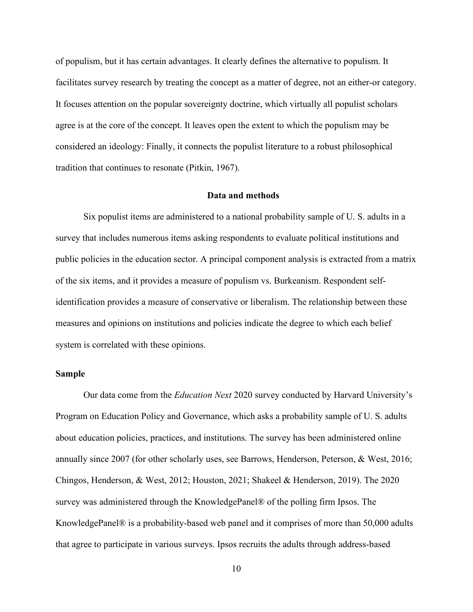of populism, but it has certain advantages. It clearly defines the alternative to populism. It facilitates survey research by treating the concept as a matter of degree, not an either-or category. It focuses attention on the popular sovereignty doctrine, which virtually all populist scholars agree is at the core of the concept. It leaves open the extent to which the populism may be considered an ideology: Finally, it connects the populist literature to a robust philosophical tradition that continues to resonate (Pitkin, 1967).

#### **Data and methods**

Six populist items are administered to a national probability sample of U. S. adults in a survey that includes numerous items asking respondents to evaluate political institutions and public policies in the education sector. A principal component analysis is extracted from a matrix of the six items, and it provides a measure of populism vs. Burkeanism. Respondent selfidentification provides a measure of conservative or liberalism. The relationship between these measures and opinions on institutions and policies indicate the degree to which each belief system is correlated with these opinions.

### **Sample**

Our data come from the *Education Next* 2020 survey conducted by Harvard University's Program on Education Policy and Governance, which asks a probability sample of U. S. adults about education policies, practices, and institutions. The survey has been administered online annually since 2007 (for other scholarly uses, see Barrows, Henderson, Peterson, & West, 2016; Chingos, Henderson, & West, 2012; Houston, 2021; Shakeel & Henderson, 2019). The 2020 survey was administered through the KnowledgePanel® of the polling firm Ipsos. The KnowledgePanel® is a probability-based web panel and it comprises of more than 50,000 adults that agree to participate in various surveys. Ipsos recruits the adults through address-based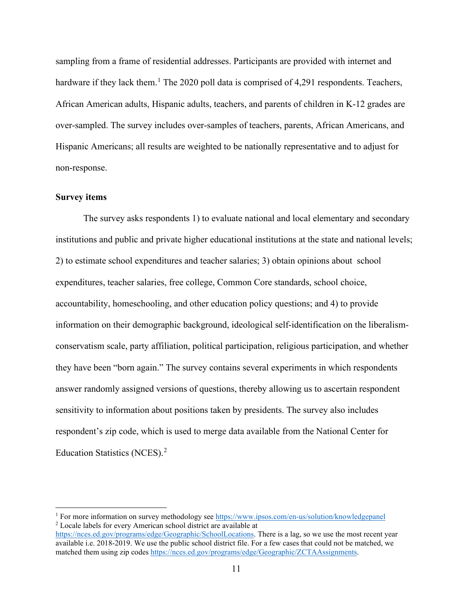sampling from a frame of residential addresses. Participants are provided with internet and hardware if they lack them.<sup>[1](#page-12-0)</sup> The 2020 poll data is comprised of 4,291 respondents. Teachers, African American adults, Hispanic adults, teachers, and parents of children in K-12 grades are over-sampled. The survey includes over-samples of teachers, parents, African Americans, and Hispanic Americans; all results are weighted to be nationally representative and to adjust for non-response.

### **Survey items**

The survey asks respondents 1) to evaluate national and local elementary and secondary institutions and public and private higher educational institutions at the state and national levels; 2) to estimate school expenditures and teacher salaries; 3) obtain opinions about school expenditures, teacher salaries, free college, Common Core standards, school choice, accountability, homeschooling, and other education policy questions; and 4) to provide information on their demographic background, ideological self-identification on the liberalismconservatism scale, party affiliation, political participation, religious participation, and whether they have been "born again." The survey contains several experiments in which respondents answer randomly assigned versions of questions, thereby allowing us to ascertain respondent sensitivity to information about positions taken by presidents. The survey also includes respondent's zip code, which is used to merge data available from the National Center for Education Statistics (NCES).[2](#page-12-1)

<span id="page-12-0"></span><sup>&</sup>lt;sup>1</sup> For more information on survey methodology see<https://www.ipsos.com/en-us/solution/knowledgepanel> <sup>2</sup> Locale labels for every American school district are available at

<span id="page-12-1"></span>[https://nces.ed.gov/programs/edge/Geographic/SchoolLocations.](https://nces.ed.gov/programs/edge/Geographic/SchoolLocations) There is a lag, so we use the most recent year available i.e. 2018-2019. We use the public school district file. For a few cases that could not be matched, we matched them using zip codes [https://nces.ed.gov/programs/edge/Geographic/ZCTAAssignments.](https://nces.ed.gov/programs/edge/Geographic/ZCTAAssignments)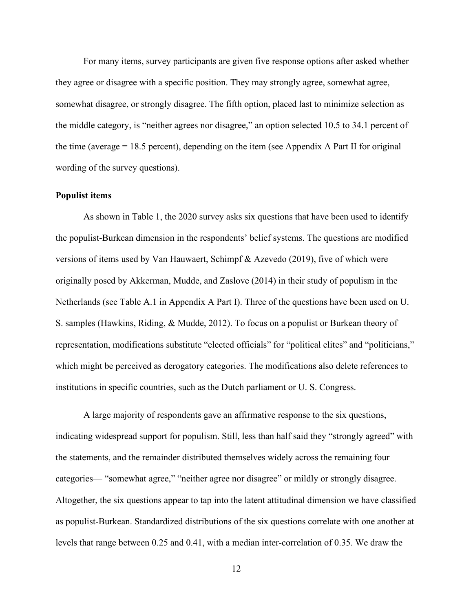For many items, survey participants are given five response options after asked whether they agree or disagree with a specific position. They may strongly agree, somewhat agree, somewhat disagree, or strongly disagree. The fifth option, placed last to minimize selection as the middle category, is "neither agrees nor disagree," an option selected 10.5 to 34.1 percent of the time (average  $= 18.5$  percent), depending on the item (see Appendix A Part II for original wording of the survey questions).

### **Populist items**

As shown in Table 1, the 2020 survey asks six questions that have been used to identify the populist-Burkean dimension in the respondents' belief systems. The questions are modified versions of items used by Van Hauwaert, Schimpf & Azevedo (2019), five of which were originally posed by Akkerman, Mudde, and Zaslove (2014) in their study of populism in the Netherlands (see Table A.1 in Appendix A Part I). Three of the questions have been used on U. S. samples (Hawkins, Riding, & Mudde, 2012). To focus on a populist or Burkean theory of representation, modifications substitute "elected officials" for "political elites" and "politicians," which might be perceived as derogatory categories. The modifications also delete references to institutions in specific countries, such as the Dutch parliament or U. S. Congress.

A large majority of respondents gave an affirmative response to the six questions, indicating widespread support for populism. Still, less than half said they "strongly agreed" with the statements, and the remainder distributed themselves widely across the remaining four categories— "somewhat agree," "neither agree nor disagree" or mildly or strongly disagree. Altogether, the six questions appear to tap into the latent attitudinal dimension we have classified as populist-Burkean. Standardized distributions of the six questions correlate with one another at levels that range between 0.25 and 0.41, with a median inter-correlation of 0.35. We draw the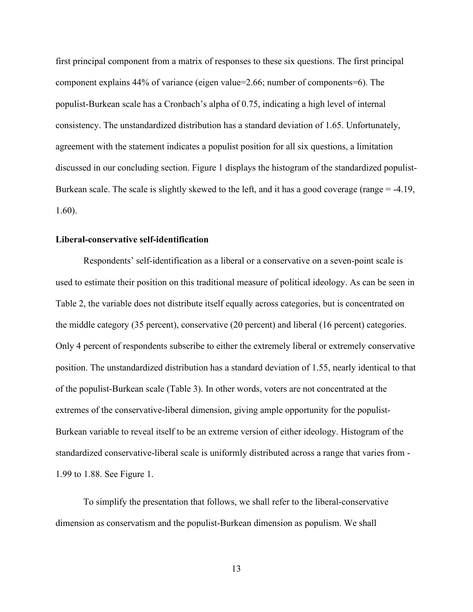first principal component from a matrix of responses to these six questions. The first principal component explains 44% of variance (eigen value=2.66; number of components=6). The populist-Burkean scale has a Cronbach's alpha of 0.75, indicating a high level of internal consistency. The unstandardized distribution has a standard deviation of 1.65. Unfortunately, agreement with the statement indicates a populist position for all six questions, a limitation discussed in our concluding section. Figure 1 displays the histogram of the standardized populist-Burkean scale. The scale is slightly skewed to the left, and it has a good coverage (range = -4.19, 1.60).

### **Liberal-conservative self-identification**

Respondents' self-identification as a liberal or a conservative on a seven-point scale is used to estimate their position on this traditional measure of political ideology. As can be seen in Table 2, the variable does not distribute itself equally across categories, but is concentrated on the middle category (35 percent), conservative (20 percent) and liberal (16 percent) categories. Only 4 percent of respondents subscribe to either the extremely liberal or extremely conservative position. The unstandardized distribution has a standard deviation of 1.55, nearly identical to that of the populist-Burkean scale (Table 3). In other words, voters are not concentrated at the extremes of the conservative-liberal dimension, giving ample opportunity for the populist-Burkean variable to reveal itself to be an extreme version of either ideology. Histogram of the standardized conservative-liberal scale is uniformly distributed across a range that varies from - 1.99 to 1.88. See Figure 1.

To simplify the presentation that follows, we shall refer to the liberal-conservative dimension as conservatism and the populist-Burkean dimension as populism. We shall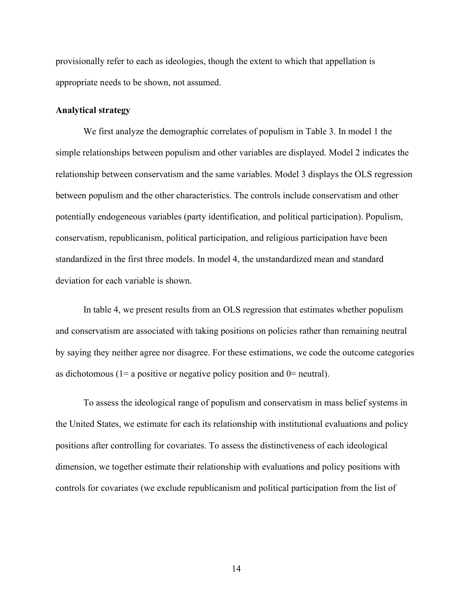provisionally refer to each as ideologies, though the extent to which that appellation is appropriate needs to be shown, not assumed.

### **Analytical strategy**

We first analyze the demographic correlates of populism in Table 3. In model 1 the simple relationships between populism and other variables are displayed. Model 2 indicates the relationship between conservatism and the same variables. Model 3 displays the OLS regression between populism and the other characteristics. The controls include conservatism and other potentially endogeneous variables (party identification, and political participation). Populism, conservatism, republicanism, political participation, and religious participation have been standardized in the first three models. In model 4, the unstandardized mean and standard deviation for each variable is shown.

In table 4, we present results from an OLS regression that estimates whether populism and conservatism are associated with taking positions on policies rather than remaining neutral by saying they neither agree nor disagree. For these estimations, we code the outcome categories as dichotomous ( $1=$  a positive or negative policy position and  $0=$  neutral).

To assess the ideological range of populism and conservatism in mass belief systems in the United States, we estimate for each its relationship with institutional evaluations and policy positions after controlling for covariates. To assess the distinctiveness of each ideological dimension, we together estimate their relationship with evaluations and policy positions with controls for covariates (we exclude republicanism and political participation from the list of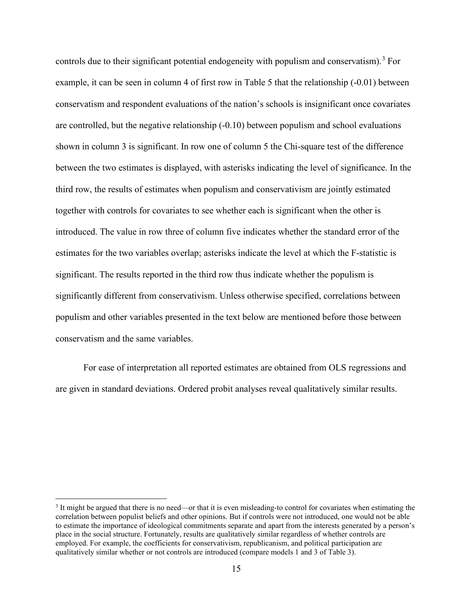controls due to their significant potential endogeneity with populism and conservatism). [3](#page-16-0) For example, it can be seen in column 4 of first row in Table 5 that the relationship (-0.01) between conservatism and respondent evaluations of the nation's schools is insignificant once covariates are controlled, but the negative relationship (-0.10) between populism and school evaluations shown in column 3 is significant. In row one of column 5 the Chi-square test of the difference between the two estimates is displayed, with asterisks indicating the level of significance. In the third row, the results of estimates when populism and conservativism are jointly estimated together with controls for covariates to see whether each is significant when the other is introduced. The value in row three of column five indicates whether the standard error of the estimates for the two variables overlap; asterisks indicate the level at which the F-statistic is significant. The results reported in the third row thus indicate whether the populism is significantly different from conservativism. Unless otherwise specified, correlations between populism and other variables presented in the text below are mentioned before those between conservatism and the same variables.

For ease of interpretation all reported estimates are obtained from OLS regressions and are given in standard deviations. Ordered probit analyses reveal qualitatively similar results.

<span id="page-16-0"></span><sup>&</sup>lt;sup>3</sup> It might be argued that there is no need—or that it is even misleading-to control for covariates when estimating the correlation between populist beliefs and other opinions. But if controls were not introduced, one would not be able to estimate the importance of ideological commitments separate and apart from the interests generated by a person's place in the social structure. Fortunately, results are qualitatively similar regardless of whether controls are employed. For example, the coefficients for conservativism, republicanism, and political participation are qualitatively similar whether or not controls are introduced (compare models 1 and 3 of Table 3).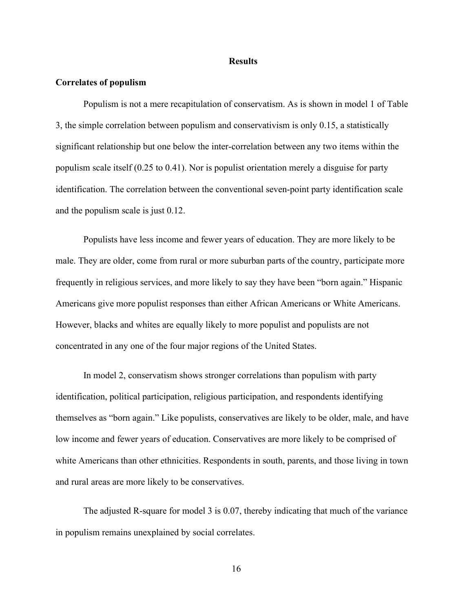#### **Results**

### **Correlates of populism**

Populism is not a mere recapitulation of conservatism. As is shown in model 1 of Table 3, the simple correlation between populism and conservativism is only 0.15, a statistically significant relationship but one below the inter-correlation between any two items within the populism scale itself (0.25 to 0.41). Nor is populist orientation merely a disguise for party identification. The correlation between the conventional seven-point party identification scale and the populism scale is just 0.12.

Populists have less income and fewer years of education. They are more likely to be male. They are older, come from rural or more suburban parts of the country, participate more frequently in religious services, and more likely to say they have been "born again." Hispanic Americans give more populist responses than either African Americans or White Americans. However, blacks and whites are equally likely to more populist and populists are not concentrated in any one of the four major regions of the United States.

In model 2, conservatism shows stronger correlations than populism with party identification, political participation, religious participation, and respondents identifying themselves as "born again." Like populists, conservatives are likely to be older, male, and have low income and fewer years of education. Conservatives are more likely to be comprised of white Americans than other ethnicities. Respondents in south, parents, and those living in town and rural areas are more likely to be conservatives.

The adjusted R-square for model 3 is 0.07, thereby indicating that much of the variance in populism remains unexplained by social correlates.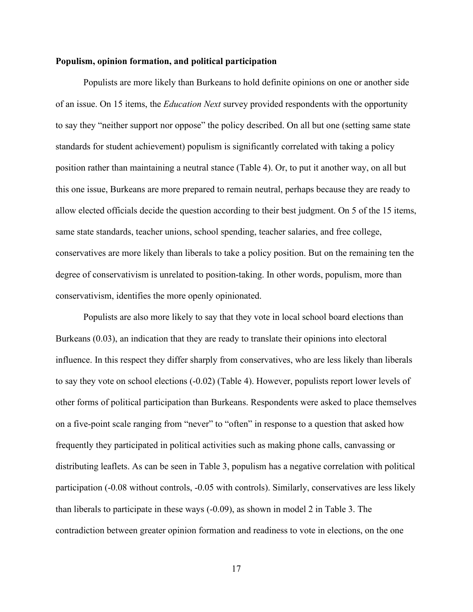### **Populism, opinion formation, and political participation**

Populists are more likely than Burkeans to hold definite opinions on one or another side of an issue. On 15 items, the *Education Next* survey provided respondents with the opportunity to say they "neither support nor oppose" the policy described. On all but one (setting same state standards for student achievement) populism is significantly correlated with taking a policy position rather than maintaining a neutral stance (Table 4). Or, to put it another way, on all but this one issue, Burkeans are more prepared to remain neutral, perhaps because they are ready to allow elected officials decide the question according to their best judgment. On 5 of the 15 items, same state standards, teacher unions, school spending, teacher salaries, and free college, conservatives are more likely than liberals to take a policy position. But on the remaining ten the degree of conservativism is unrelated to position-taking. In other words, populism, more than conservativism, identifies the more openly opinionated.

Populists are also more likely to say that they vote in local school board elections than Burkeans (0.03), an indication that they are ready to translate their opinions into electoral influence. In this respect they differ sharply from conservatives, who are less likely than liberals to say they vote on school elections (-0.02) (Table 4). However, populists report lower levels of other forms of political participation than Burkeans. Respondents were asked to place themselves on a five-point scale ranging from "never" to "often" in response to a question that asked how frequently they participated in political activities such as making phone calls, canvassing or distributing leaflets. As can be seen in Table 3, populism has a negative correlation with political participation (-0.08 without controls, -0.05 with controls). Similarly, conservatives are less likely than liberals to participate in these ways (-0.09), as shown in model 2 in Table 3. The contradiction between greater opinion formation and readiness to vote in elections, on the one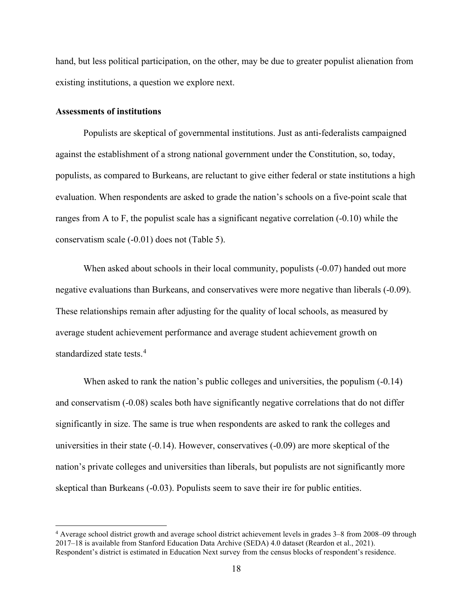hand, but less political participation, on the other, may be due to greater populist alienation from existing institutions, a question we explore next.

### **Assessments of institutions**

Populists are skeptical of governmental institutions. Just as anti-federalists campaigned against the establishment of a strong national government under the Constitution, so, today, populists, as compared to Burkeans, are reluctant to give either federal or state institutions a high evaluation. When respondents are asked to grade the nation's schools on a five-point scale that ranges from A to F, the populist scale has a significant negative correlation  $(-0.10)$  while the conservatism scale (-0.01) does not (Table 5).

When asked about schools in their local community, populists (-0.07) handed out more negative evaluations than Burkeans, and conservatives were more negative than liberals (-0.09). These relationships remain after adjusting for the quality of local schools, as measured by average student achievement performance and average student achievement growth on standardized state tests.[4](#page-19-0)

When asked to rank the nation's public colleges and universities, the populism  $(-0.14)$ and conservatism (-0.08) scales both have significantly negative correlations that do not differ significantly in size. The same is true when respondents are asked to rank the colleges and universities in their state (-0.14). However, conservatives (-0.09) are more skeptical of the nation's private colleges and universities than liberals, but populists are not significantly more skeptical than Burkeans (-0.03). Populists seem to save their ire for public entities.

<span id="page-19-0"></span><sup>4</sup> Average school district growth and average school district achievement levels in grades 3–8 from 2008–09 through 2017–18 is available from Stanford Education Data Archive (SEDA) 4.0 dataset (Reardon et al., 2021). Respondent's district is estimated in Education Next survey from the census blocks of respondent's residence.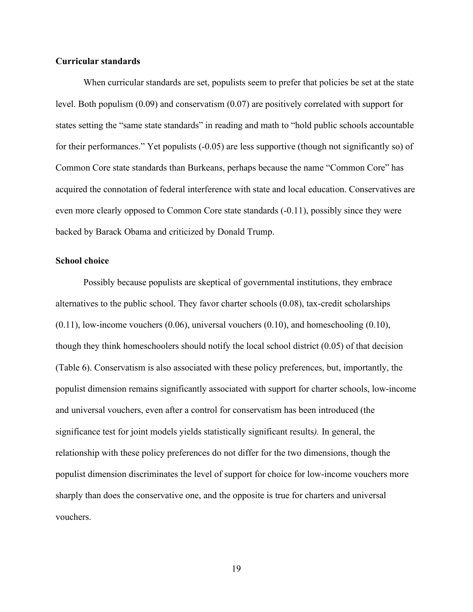### **Curricular standards**

When curricular standards are set, populists seem to prefer that policies be set at the state level. Both populism (0.09) and conservatism (0.07) are positively correlated with support for states setting the "same state standards" in reading and math to "hold public schools accountable for their performances." Yet populists (-0.05) are less supportive (though not significantly so) of Common Core state standards than Burkeans, perhaps because the name "Common Core" has acquired the connotation of federal interference with state and local education. Conservatives are even more clearly opposed to Common Core state standards (-0.11), possibly since they were backed by Barack Obama and criticized by Donald Trump.

### **School choice**

Possibly because populists are skeptical of governmental institutions, they embrace alternatives to the public school. They favor charter schools (0.08), tax-credit scholarships  $(0.11)$ , low-income vouchers  $(0.06)$ , universal vouchers  $(0.10)$ , and homeschooling  $(0.10)$ , though they think homeschoolers should notify the local school district (0.05) of that decision (Table 6). Conservatism is also associated with these policy preferences, but, importantly, the populist dimension remains significantly associated with support for charter schools, low-income and universal vouchers, even after a control for conservatism has been introduced (the significance test for joint models yields statistically significant results*).* In general, the relationship with these policy preferences do not differ for the two dimensions, though the populist dimension discriminates the level of support for choice for low-income vouchers more sharply than does the conservative one, and the opposite is true for charters and universal vouchers.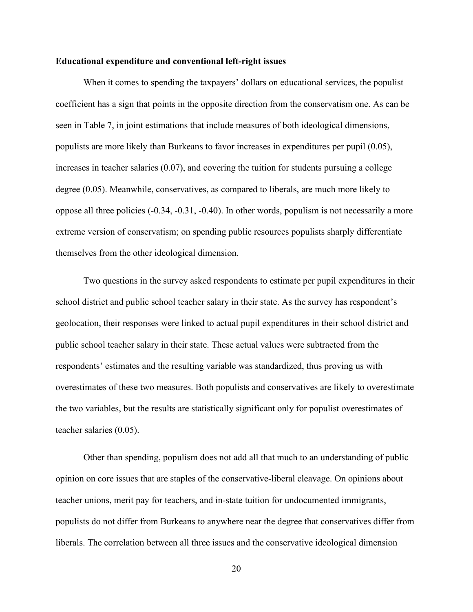#### **Educational expenditure and conventional left-right issues**

When it comes to spending the taxpayers' dollars on educational services, the populist coefficient has a sign that points in the opposite direction from the conservatism one. As can be seen in Table 7, in joint estimations that include measures of both ideological dimensions, populists are more likely than Burkeans to favor increases in expenditures per pupil (0.05), increases in teacher salaries (0.07), and covering the tuition for students pursuing a college degree (0.05). Meanwhile, conservatives, as compared to liberals, are much more likely to oppose all three policies (-0.34, -0.31, -0.40). In other words, populism is not necessarily a more extreme version of conservatism; on spending public resources populists sharply differentiate themselves from the other ideological dimension.

Two questions in the survey asked respondents to estimate per pupil expenditures in their school district and public school teacher salary in their state. As the survey has respondent's geolocation, their responses were linked to actual pupil expenditures in their school district and public school teacher salary in their state. These actual values were subtracted from the respondents' estimates and the resulting variable was standardized, thus proving us with overestimates of these two measures. Both populists and conservatives are likely to overestimate the two variables, but the results are statistically significant only for populist overestimates of teacher salaries (0.05).

Other than spending, populism does not add all that much to an understanding of public opinion on core issues that are staples of the conservative-liberal cleavage. On opinions about teacher unions, merit pay for teachers, and in-state tuition for undocumented immigrants, populists do not differ from Burkeans to anywhere near the degree that conservatives differ from liberals. The correlation between all three issues and the conservative ideological dimension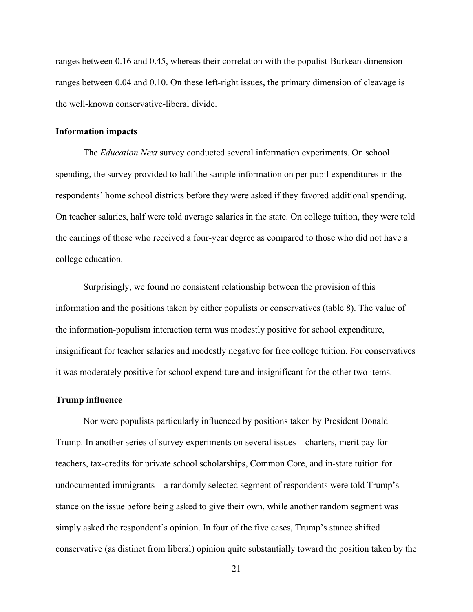ranges between 0.16 and 0.45, whereas their correlation with the populist-Burkean dimension ranges between 0.04 and 0.10. On these left-right issues, the primary dimension of cleavage is the well-known conservative-liberal divide.

### **Information impacts**

The *Education Next* survey conducted several information experiments. On school spending, the survey provided to half the sample information on per pupil expenditures in the respondents' home school districts before they were asked if they favored additional spending. On teacher salaries, half were told average salaries in the state. On college tuition, they were told the earnings of those who received a four-year degree as compared to those who did not have a college education.

Surprisingly, we found no consistent relationship between the provision of this information and the positions taken by either populists or conservatives (table 8). The value of the information-populism interaction term was modestly positive for school expenditure, insignificant for teacher salaries and modestly negative for free college tuition. For conservatives it was moderately positive for school expenditure and insignificant for the other two items.

### **Trump influence**

Nor were populists particularly influenced by positions taken by President Donald Trump. In another series of survey experiments on several issues—charters, merit pay for teachers, tax-credits for private school scholarships, Common Core, and in-state tuition for undocumented immigrants—a randomly selected segment of respondents were told Trump's stance on the issue before being asked to give their own, while another random segment was simply asked the respondent's opinion. In four of the five cases, Trump's stance shifted conservative (as distinct from liberal) opinion quite substantially toward the position taken by the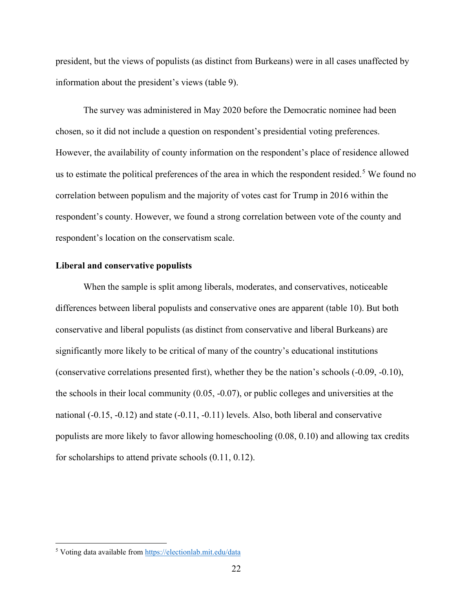president, but the views of populists (as distinct from Burkeans) were in all cases unaffected by information about the president's views (table 9).

The survey was administered in May 2020 before the Democratic nominee had been chosen, so it did not include a question on respondent's presidential voting preferences. However, the availability of county information on the respondent's place of residence allowed us to estimate the political preferences of the area in which the respondent resided.<sup>[5](#page-23-0)</sup> We found no correlation between populism and the majority of votes cast for Trump in 2016 within the respondent's county. However, we found a strong correlation between vote of the county and respondent's location on the conservatism scale.

### **Liberal and conservative populists**

When the sample is split among liberals, moderates, and conservatives, noticeable differences between liberal populists and conservative ones are apparent (table 10). But both conservative and liberal populists (as distinct from conservative and liberal Burkeans) are significantly more likely to be critical of many of the country's educational institutions (conservative correlations presented first), whether they be the nation's schools (-0.09, -0.10), the schools in their local community (0.05, -0.07), or public colleges and universities at the national (-0.15, -0.12) and state (-0.11, -0.11) levels. Also, both liberal and conservative populists are more likely to favor allowing homeschooling (0.08, 0.10) and allowing tax credits for scholarships to attend private schools (0.11, 0.12).

<span id="page-23-0"></span><sup>5</sup> Voting data available fro[m https://electionlab.mit.edu/data](https://electionlab.mit.edu/data)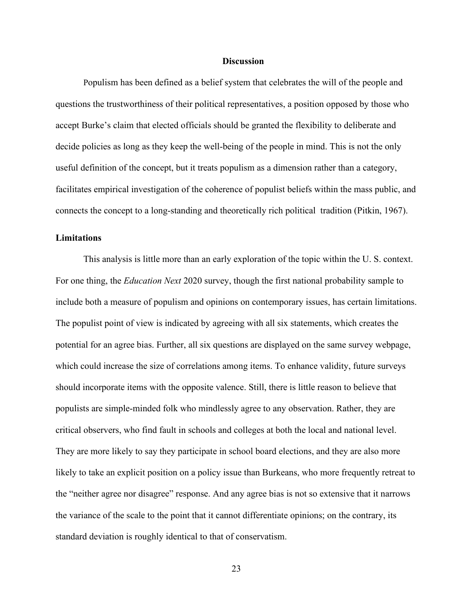### **Discussion**

Populism has been defined as a belief system that celebrates the will of the people and questions the trustworthiness of their political representatives, a position opposed by those who accept Burke's claim that elected officials should be granted the flexibility to deliberate and decide policies as long as they keep the well-being of the people in mind. This is not the only useful definition of the concept, but it treats populism as a dimension rather than a category, facilitates empirical investigation of the coherence of populist beliefs within the mass public, and connects the concept to a long-standing and theoretically rich political tradition (Pitkin, 1967).

### **Limitations**

This analysis is little more than an early exploration of the topic within the U. S. context. For one thing, the *Education Next* 2020 survey, though the first national probability sample to include both a measure of populism and opinions on contemporary issues, has certain limitations. The populist point of view is indicated by agreeing with all six statements, which creates the potential for an agree bias. Further, all six questions are displayed on the same survey webpage, which could increase the size of correlations among items. To enhance validity, future surveys should incorporate items with the opposite valence. Still, there is little reason to believe that populists are simple-minded folk who mindlessly agree to any observation. Rather, they are critical observers, who find fault in schools and colleges at both the local and national level. They are more likely to say they participate in school board elections, and they are also more likely to take an explicit position on a policy issue than Burkeans, who more frequently retreat to the "neither agree nor disagree" response. And any agree bias is not so extensive that it narrows the variance of the scale to the point that it cannot differentiate opinions; on the contrary, its standard deviation is roughly identical to that of conservatism.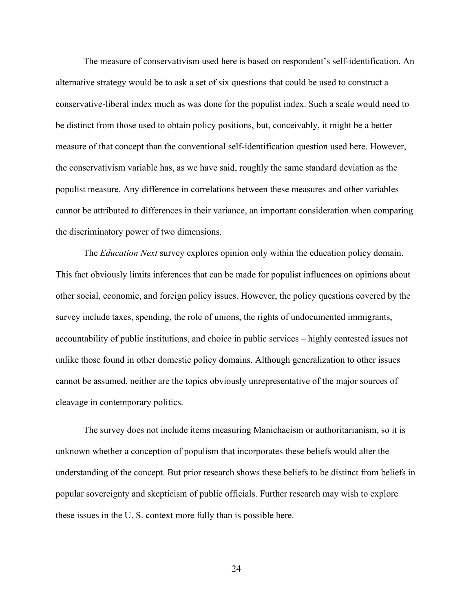The measure of conservativism used here is based on respondent's self-identification. An alternative strategy would be to ask a set of six questions that could be used to construct a conservative-liberal index much as was done for the populist index. Such a scale would need to be distinct from those used to obtain policy positions, but, conceivably, it might be a better measure of that concept than the conventional self-identification question used here. However, the conservativism variable has, as we have said, roughly the same standard deviation as the populist measure. Any difference in correlations between these measures and other variables cannot be attributed to differences in their variance, an important consideration when comparing the discriminatory power of two dimensions.

The *Education Next* survey explores opinion only within the education policy domain. This fact obviously limits inferences that can be made for populist influences on opinions about other social, economic, and foreign policy issues. However, the policy questions covered by the survey include taxes, spending, the role of unions, the rights of undocumented immigrants, accountability of public institutions, and choice in public services – highly contested issues not unlike those found in other domestic policy domains. Although generalization to other issues cannot be assumed, neither are the topics obviously unrepresentative of the major sources of cleavage in contemporary politics.

The survey does not include items measuring Manichaeism or authoritarianism, so it is unknown whether a conception of populism that incorporates these beliefs would alter the understanding of the concept. But prior research shows these beliefs to be distinct from beliefs in popular sovereignty and skepticism of public officials. Further research may wish to explore these issues in the U. S. context more fully than is possible here.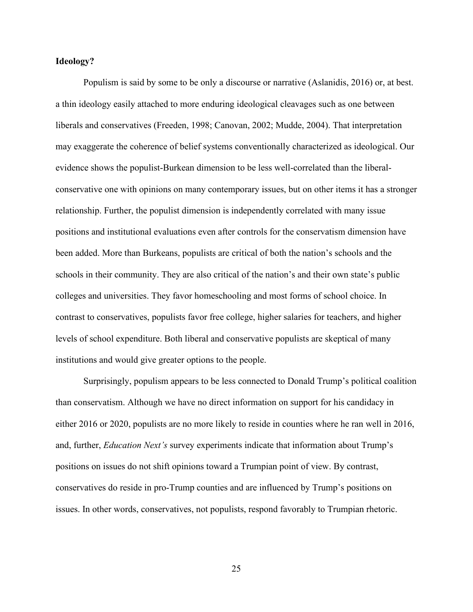### **Ideology?**

Populism is said by some to be only a discourse or narrative (Aslanidis, 2016) or, at best. a thin ideology easily attached to more enduring ideological cleavages such as one between liberals and conservatives (Freeden, 1998; Canovan, 2002; Mudde, 2004). That interpretation may exaggerate the coherence of belief systems conventionally characterized as ideological. Our evidence shows the populist-Burkean dimension to be less well-correlated than the liberalconservative one with opinions on many contemporary issues, but on other items it has a stronger relationship. Further, the populist dimension is independently correlated with many issue positions and institutional evaluations even after controls for the conservatism dimension have been added. More than Burkeans, populists are critical of both the nation's schools and the schools in their community. They are also critical of the nation's and their own state's public colleges and universities. They favor homeschooling and most forms of school choice. In contrast to conservatives, populists favor free college, higher salaries for teachers, and higher levels of school expenditure. Both liberal and conservative populists are skeptical of many institutions and would give greater options to the people.

Surprisingly, populism appears to be less connected to Donald Trump's political coalition than conservatism. Although we have no direct information on support for his candidacy in either 2016 or 2020, populists are no more likely to reside in counties where he ran well in 2016, and, further, *Education Next's* survey experiments indicate that information about Trump's positions on issues do not shift opinions toward a Trumpian point of view. By contrast, conservatives do reside in pro-Trump counties and are influenced by Trump's positions on issues. In other words, conservatives, not populists, respond favorably to Trumpian rhetoric.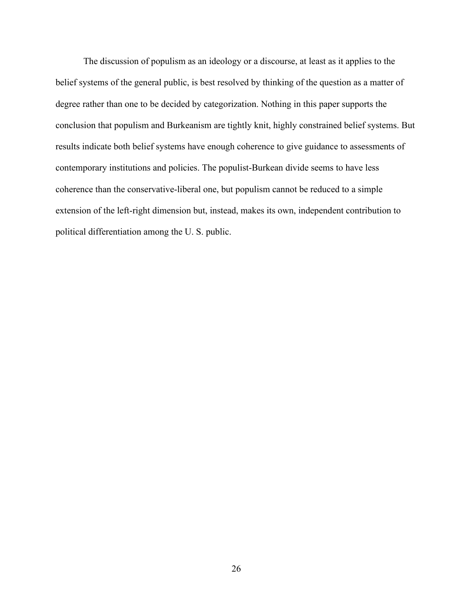The discussion of populism as an ideology or a discourse, at least as it applies to the belief systems of the general public, is best resolved by thinking of the question as a matter of degree rather than one to be decided by categorization. Nothing in this paper supports the conclusion that populism and Burkeanism are tightly knit, highly constrained belief systems. But results indicate both belief systems have enough coherence to give guidance to assessments of contemporary institutions and policies. The populist-Burkean divide seems to have less coherence than the conservative-liberal one, but populism cannot be reduced to a simple extension of the left-right dimension but, instead, makes its own, independent contribution to political differentiation among the U. S. public.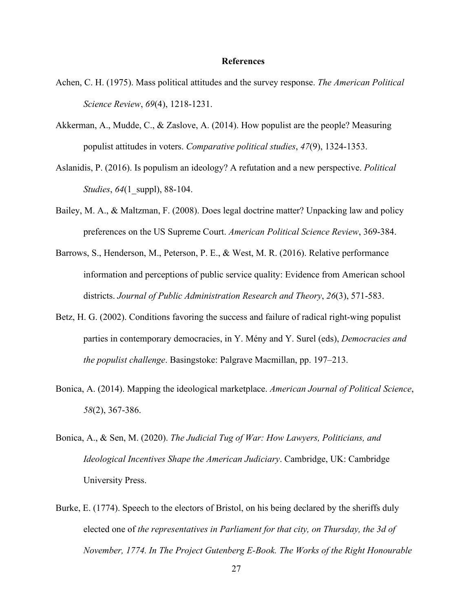### **References**

- Achen, C. H. (1975). Mass political attitudes and the survey response. *The American Political Science Review*, *69*(4), 1218-1231.
- Akkerman, A., Mudde, C., & Zaslove, A. (2014). How populist are the people? Measuring populist attitudes in voters. *Comparative political studies*, *47*(9), 1324-1353.
- Aslanidis, P. (2016). Is populism an ideology? A refutation and a new perspective. *Political Studies*, *64*(1\_suppl), 88-104.
- Bailey, M. A., & Maltzman, F. (2008). Does legal doctrine matter? Unpacking law and policy preferences on the US Supreme Court. *American Political Science Review*, 369-384.
- Barrows, S., Henderson, M., Peterson, P. E., & West, M. R. (2016). Relative performance information and perceptions of public service quality: Evidence from American school districts. *Journal of Public Administration Research and Theory*, *26*(3), 571-583.
- Betz, H. G. (2002). Conditions favoring the success and failure of radical right-wing populist parties in contemporary democracies, in Y. Mény and Y. Surel (eds), *Democracies and the populist challenge*. Basingstoke: Palgrave Macmillan, pp. 197–213.
- Bonica, A. (2014). Mapping the ideological marketplace. *American Journal of Political Science*, *58*(2), 367-386.
- Bonica, A., & Sen, M. (2020). *The Judicial Tug of War: How Lawyers, Politicians, and Ideological Incentives Shape the American Judiciary*. Cambridge, UK: Cambridge University Press.
- Burke, E. (1774). Speech to the electors of Bristol, on his being declared by the sheriffs duly elected one of *the representatives in Parliament for that city, on Thursday, the 3d of November, 1774. In The Project Gutenberg E-Book. The Works of the Right Honourable*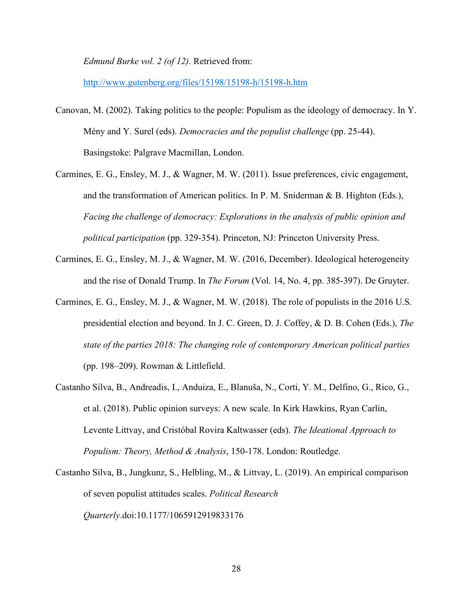*Edmund Burke vol. 2 (of 12).* Retrieved from:

<http://www.gutenberg.org/files/15198/15198-h/15198-h.htm>

- Canovan, M. (2002). Taking politics to the people: Populism as the ideology of democracy. In Y. Mény and Y. Surel (eds). *Democracies and the populist challenge* (pp. 25-44). Basingstoke: Palgrave Macmillan, London.
- Carmines, E. G., Ensley, M. J., & Wagner, M. W. (2011). Issue preferences, civic engagement, and the transformation of American politics. In P. M. Sniderman & B. Highton (Eds.), *Facing the challenge of democracy: Explorations in the analysis of public opinion and political participation* (pp. 329-354). Princeton, NJ: Princeton University Press.
- Carmines, E. G., Ensley, M. J., & Wagner, M. W. (2016, December). Ideological heterogeneity and the rise of Donald Trump. In *The Forum* (Vol. 14, No. 4, pp. 385-397). De Gruyter.
- Carmines, E. G., Ensley, M. J., & Wagner, M. W. (2018). The role of populists in the 2016 U.S. presidential election and beyond. In J. C. Green, D. J. Coffey, & D. B. Cohen (Eds.), *The state of the parties 2018: The changing role of contemporary American political parties* (pp. 198–209). Rowman & Littlefield.
- Castanho Silva, B., Andreadis, I., Anduiza, E., Blanuša, N., Corti, Y. M., Delfino, G., Rico, G., et al. (2018). Public opinion surveys: A new scale. In Kirk Hawkins, Ryan Carlin, Levente Littvay, and Cristóbal Rovira Kaltwasser (eds). *The Ideational Approach to Populism: Theory, Method & Analysis*, 150-178. London: Routledge.
- Castanho Silva, B., Jungkunz, S., Helbling, M., & Littvay, L. (2019). An empirical comparison of seven populist attitudes scales. *Political Research Quarterly*.doi:10.1177/1065912919833176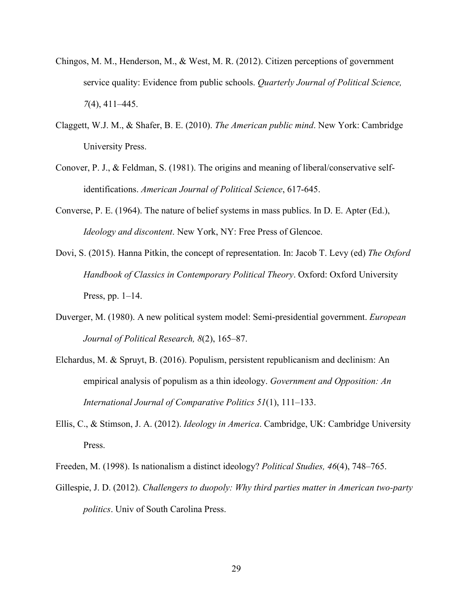- Chingos, M. M., Henderson, M., & West, M. R. (2012). Citizen perceptions of government service quality: Evidence from public schools. *Quarterly Journal of Political Science, 7*(4), 411–445.
- Claggett, W.J. M., & Shafer, B. E. (2010). *The American public mind*. New York: Cambridge University Press.
- Conover, P. J., & Feldman, S. (1981). The origins and meaning of liberal/conservative selfidentifications. *American Journal of Political Science*, 617-645.
- Converse, P. E. (1964). The nature of belief systems in mass publics. In D. E. Apter (Ed.), *Ideology and discontent*. New York, NY: Free Press of Glencoe.
- Dovi, S. (2015). Hanna Pitkin, the concept of representation. In: Jacob T. Levy (ed) *The Oxford Handbook of Classics in Contemporary Political Theory*. Oxford: Oxford University Press, pp.  $1-14$ .
- Duverger, M. (1980). A new political system model: Semi-presidential government. *European Journal of Political Research, 8*(2), 165–87.
- Elchardus, M. & Spruyt, B. (2016). Populism, persistent republicanism and declinism: An empirical analysis of populism as a thin ideology. *Government and Opposition: An International Journal of Comparative Politics 51*(1), 111–133.
- Ellis, C., & Stimson, J. A. (2012). *Ideology in America*. Cambridge, UK: Cambridge University Press.
- Freeden, M. (1998). Is nationalism a distinct ideology? *Political Studies, 46*(4), 748–765.
- Gillespie, J. D. (2012). *Challengers to duopoly: Why third parties matter in American two-party politics*. Univ of South Carolina Press.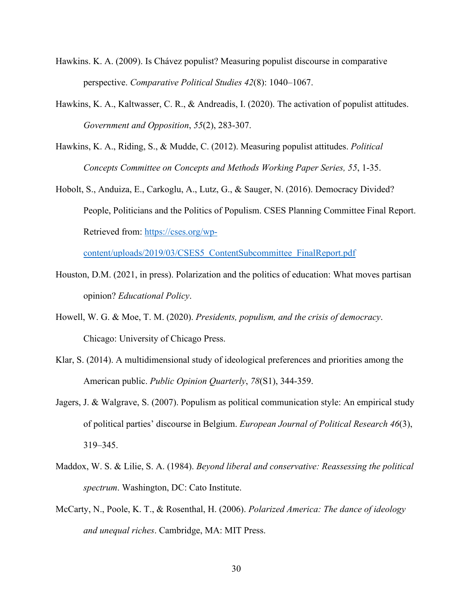- Hawkins. K. A. (2009). Is Chávez populist? Measuring populist discourse in comparative perspective. *Comparative Political Studies 42*(8): 1040–1067.
- Hawkins, K. A., Kaltwasser, C. R., & Andreadis, I. (2020). The activation of populist attitudes. *Government and Opposition*, *55*(2), 283-307.
- Hawkins, K. A., Riding, S., & Mudde, C. (2012). Measuring populist attitudes. *Political Concepts Committee on Concepts and Methods Working Paper Series, 55*, 1-35.
- Hobolt, S., Anduiza, E., Carkoglu, A., Lutz, G., & Sauger, N. (2016). Democracy Divided? People, Politicians and the Politics of Populism. CSES Planning Committee Final Report. Retrieved from: [https://cses.org/wp-](https://cses.org/wp-content/uploads/2019/03/CSES5_ContentSubcommittee_FinalReport.pdf)

[content/uploads/2019/03/CSES5\\_ContentSubcommittee\\_FinalReport.pdf](https://cses.org/wp-content/uploads/2019/03/CSES5_ContentSubcommittee_FinalReport.pdf)

- Houston, D.M. (2021, in press). Polarization and the politics of education: What moves partisan opinion? *Educational Policy*.
- Howell, W. G. & Moe, T. M. (2020). *Presidents, populism, and the crisis of democracy*. Chicago: University of Chicago Press.
- Klar, S. (2014). A multidimensional study of ideological preferences and priorities among the American public. *Public Opinion Quarterly*, *78*(S1), 344-359.
- Jagers, J. & Walgrave, S. (2007). Populism as political communication style: An empirical study of political parties' discourse in Belgium. *European Journal of Political Research 46*(3), 319–345.
- Maddox, W. S. & Lilie, S. A. (1984). *Beyond liberal and conservative: Reassessing the political spectrum*. Washington, DC: Cato Institute.
- McCarty, N., Poole, K. T., & Rosenthal, H. (2006). *Polarized America: The dance of ideology and unequal riches*. Cambridge, MA: MIT Press.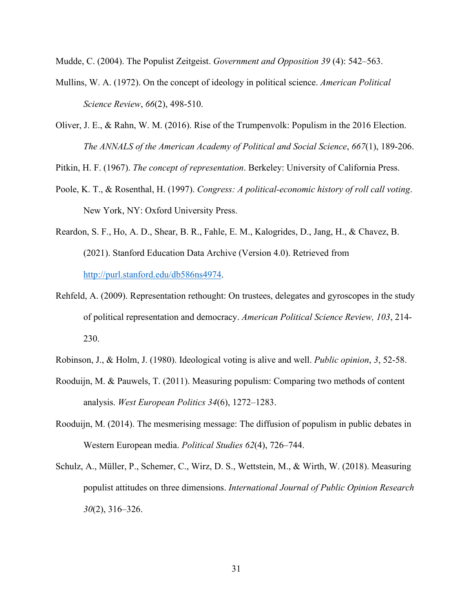Mudde, C. (2004). The Populist Zeitgeist. *Government and Opposition 39* (4): 542–563.

- Mullins, W. A. (1972). On the concept of ideology in political science. *American Political Science Review*, *66*(2), 498-510.
- Oliver, J. E., & Rahn, W. M. (2016). Rise of the Trumpenvolk: Populism in the 2016 Election. *The ANNALS of the American Academy of Political and Social Science*, *667*(1), 189-206.

Pitkin, H. F. (1967). *The concept of representation*. Berkeley: University of California Press.

- Poole, K. T., & Rosenthal, H. (1997). *Congress: A political-economic history of roll call voting*. New York, NY: Oxford University Press.
- Reardon, S. F., Ho, A. D., Shear, B. R., Fahle, E. M., Kalogrides, D., Jang, H., & Chavez, B. (2021). Stanford Education Data Archive (Version 4.0). Retrieved from [http://purl.stanford.edu/db586ns4974.](http://purl.stanford.edu/db586ns4974)
- Rehfeld, A. (2009). Representation rethought: On trustees, delegates and gyroscopes in the study of political representation and democracy. *American Political Science Review, 103*, 214- 230.
- Robinson, J., & Holm, J. (1980). Ideological voting is alive and well. *Public opinion*, *3*, 52-58.
- Rooduijn, M. & Pauwels, T. (2011). Measuring populism: Comparing two methods of content analysis. *West European Politics 34*(6), 1272–1283.
- Rooduijn, M. (2014). The mesmerising message: The diffusion of populism in public debates in Western European media. *Political Studies 62*(4), 726–744.
- Schulz, A., Müller, P., Schemer, C., Wirz, D. S., Wettstein, M., & Wirth, W. (2018). Measuring populist attitudes on three dimensions. *International Journal of Public Opinion Research 30*(2), 316–326.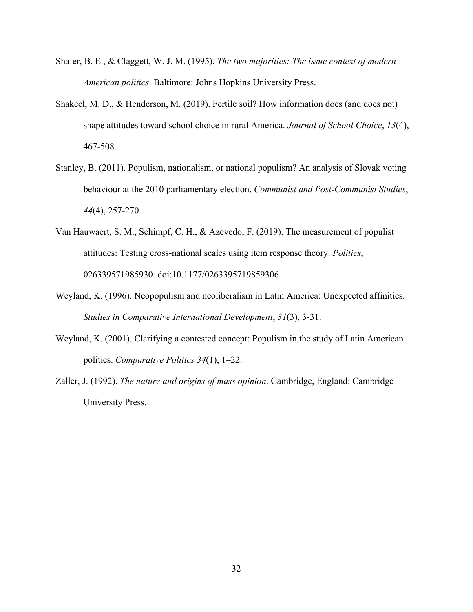- Shafer, B. E., & Claggett, W. J. M. (1995). *The two majorities: The issue context of modern American politics*. Baltimore: Johns Hopkins University Press.
- Shakeel, M. D., & Henderson, M. (2019). Fertile soil? How information does (and does not) shape attitudes toward school choice in rural America. *Journal of School Choice*, *13*(4), 467-508.
- Stanley, B. (2011). Populism, nationalism, or national populism? An analysis of Slovak voting behaviour at the 2010 parliamentary election. *Communist and Post-Communist Studies*, *44*(4), 257-270.
- Van Hauwaert, S. M., Schimpf, C. H., & Azevedo, F. (2019). The measurement of populist attitudes: Testing cross-national scales using item response theory. *Politics*, 026339571985930. doi:10.1177/0263395719859306
- Weyland, K. (1996). Neopopulism and neoliberalism in Latin America: Unexpected affinities. *Studies in Comparative International Development*, *31*(3), 3-31.
- Weyland, K. (2001). Clarifying a contested concept: Populism in the study of Latin American politics. *Comparative Politics 34*(1), 1–22.
- Zaller, J. (1992). *The nature and origins of mass opinion*. Cambridge, England: Cambridge University Press.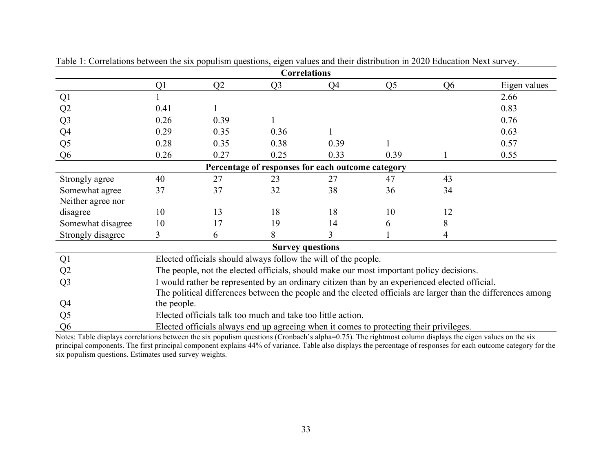|                   |                |      | <b>Correlations</b>                                         |                                                                |                                                                                               |                |                                                                                                              |
|-------------------|----------------|------|-------------------------------------------------------------|----------------------------------------------------------------|-----------------------------------------------------------------------------------------------|----------------|--------------------------------------------------------------------------------------------------------------|
|                   | Q <sub>1</sub> | Q2   | Q <sub>3</sub>                                              | Q4                                                             | Q <sub>5</sub>                                                                                | Q <sub>6</sub> | Eigen values                                                                                                 |
| Q1                |                |      |                                                             |                                                                |                                                                                               |                | 2.66                                                                                                         |
| Q2                | 0.41           |      |                                                             |                                                                |                                                                                               |                | 0.83                                                                                                         |
| Q <sub>3</sub>    | 0.26           | 0.39 |                                                             |                                                                |                                                                                               |                | 0.76                                                                                                         |
| Q4                | 0.29           | 0.35 | 0.36                                                        |                                                                |                                                                                               |                | 0.63                                                                                                         |
| Q <sub>5</sub>    | 0.28           | 0.35 | 0.38                                                        | 0.39                                                           |                                                                                               |                | 0.57                                                                                                         |
| Q <sub>6</sub>    | 0.26           | 0.27 | 0.25                                                        | 0.33                                                           | 0.39                                                                                          |                | 0.55                                                                                                         |
|                   |                |      |                                                             | Percentage of responses for each outcome category              |                                                                                               |                |                                                                                                              |
| Strongly agree    | 40             | 27   | 23                                                          | 27                                                             | 47                                                                                            | 43             |                                                                                                              |
| Somewhat agree    | 37             | 37   | 32                                                          | 38                                                             | 36                                                                                            | 34             |                                                                                                              |
| Neither agree nor |                |      |                                                             |                                                                |                                                                                               |                |                                                                                                              |
| disagree          | 10             | 13   | 18                                                          | 18                                                             | 10                                                                                            | 12             |                                                                                                              |
| Somewhat disagree | 10             | 17   | 19                                                          | 14                                                             | 6                                                                                             | 8              |                                                                                                              |
| Strongly disagree | 3              | 6    | 8                                                           |                                                                |                                                                                               | 4              |                                                                                                              |
|                   |                |      | <b>Survey questions</b>                                     |                                                                |                                                                                               |                |                                                                                                              |
| Q1                |                |      |                                                             | Elected officials should always follow the will of the people. |                                                                                               |                |                                                                                                              |
| Q2                |                |      |                                                             |                                                                | The people, not the elected officials, should make our most important policy decisions.       |                |                                                                                                              |
| Q <sub>3</sub>    |                |      |                                                             |                                                                | I would rather be represented by an ordinary citizen than by an experienced elected official. |                |                                                                                                              |
|                   |                |      |                                                             |                                                                |                                                                                               |                | The political differences between the people and the elected officials are larger than the differences among |
| Q <sub>4</sub>    | the people.    |      |                                                             |                                                                |                                                                                               |                |                                                                                                              |
| Q <sub>5</sub>    |                |      | Elected officials talk too much and take too little action. |                                                                |                                                                                               |                |                                                                                                              |
| Q <sub>6</sub>    |                |      |                                                             |                                                                | Elected officials always end up agreeing when it comes to protecting their privileges.        |                |                                                                                                              |

Table 1: Correlations between the six populism questions, eigen values and their distribution in 2020 Education Next survey.

Notes: Table displays correlations between the six populism questions (Cronbach's alpha=0.75). The rightmost column displays the eigen values on the six principal components. The first principal component explains 44% of variance. Table also displays the percentage of responses for each outcome category for the six populism questions. Estimates used survey weights.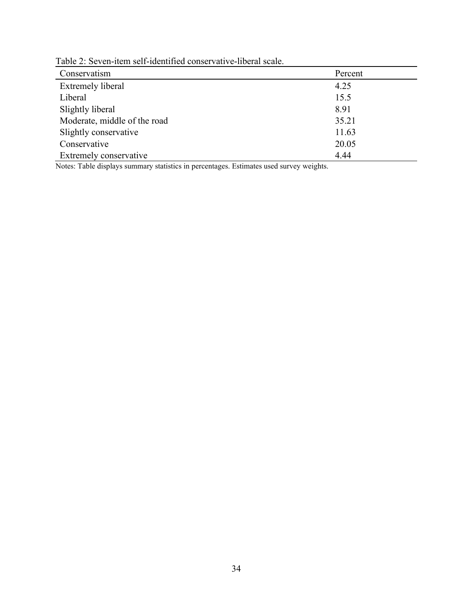| Table 2: Seven-item self-identified conservative-liberal scale. |  |
|-----------------------------------------------------------------|--|
|-----------------------------------------------------------------|--|

| Conservatism                 | Percent |
|------------------------------|---------|
| <b>Extremely liberal</b>     | 4.25    |
| Liberal                      | 15.5    |
| Slightly liberal             | 8.91    |
| Moderate, middle of the road | 35.21   |
| Slightly conservative        | 11.63   |
| Conservative                 | 20.05   |
| Extremely conservative       | 4.44    |

Notes: Table displays summary statistics in percentages. Estimates used survey weights.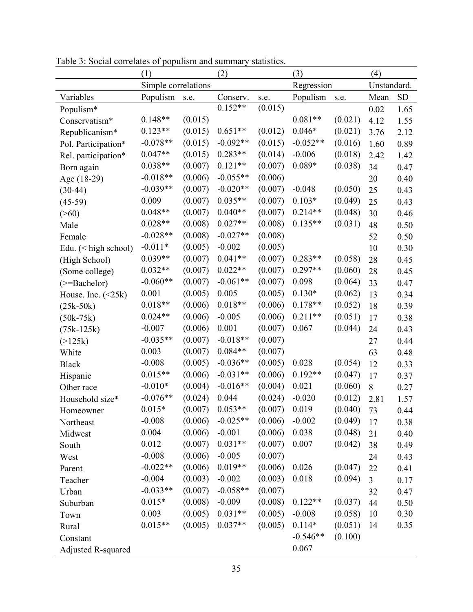|                          | (1)                 |         | (2)        |         | (3)        |         | (4)            |           |
|--------------------------|---------------------|---------|------------|---------|------------|---------|----------------|-----------|
|                          | Simple correlations |         |            |         | Regression |         | Unstandard.    |           |
| Variables                | Populism            | s.e.    | Conserv.   | s.e.    | Populism   | s.e.    | Mean           | <b>SD</b> |
| Populism*                |                     |         | $0.152**$  | (0.015) |            |         | 0.02           | 1.65      |
| Conservatism*            | $0.148**$           | (0.015) |            |         | $0.081**$  | (0.021) | 4.12           | 1.55      |
| Republicanism*           | $0.123**$           | (0.015) | $0.651**$  | (0.012) | $0.046*$   | (0.021) | 3.76           | 2.12      |
| Pol. Participation*      | $-0.078**$          | (0.015) | $-0.092**$ | (0.015) | $-0.052**$ | (0.016) | 1.60           | 0.89      |
| Rel. participation*      | $0.047**$           | (0.015) | $0.283**$  | (0.014) | $-0.006$   | (0.018) | 2.42           | 1.42      |
| Born again               | $0.038**$           | (0.007) | $0.121**$  | (0.007) | $0.089*$   | (0.038) | 34             | 0.47      |
| Age (18-29)              | $-0.018**$          | (0.006) | $-0.055**$ | (0.006) |            |         | 20             | 0.40      |
| $(30-44)$                | $-0.039**$          | (0.007) | $-0.020**$ | (0.007) | $-0.048$   | (0.050) | 25             | 0.43      |
| $(45-59)$                | 0.009               | (0.007) | $0.035**$  | (0.007) | $0.103*$   | (0.049) | 25             | 0.43      |
| $($ >60)                 | $0.048**$           | (0.007) | $0.040**$  | (0.007) | $0.214**$  | (0.048) | 30             | 0.46      |
| Male                     | $0.028**$           | (0.008) | $0.027**$  | (0.008) | $0.135**$  | (0.031) | 48             | 0.50      |
| Female                   | $-0.028**$          | (0.008) | $-0.027**$ | (0.008) |            |         | 52             | 0.50      |
| Edu. $(<$ high school)   | $-0.011*$           | (0.005) | $-0.002$   | (0.005) |            |         | 10             | 0.30      |
| (High School)            | $0.039**$           | (0.007) | $0.041**$  | (0.007) | $0.283**$  | (0.058) | 28             | 0.45      |
| (Some college)           | $0.032**$           | (0.007) | $0.022**$  | (0.007) | $0.297**$  | (0.060) | 28             | 0.45      |
| $(>=Bachelor)$           | $-0.060**$          | (0.007) | $-0.061**$ | (0.007) | 0.098      | (0.064) | 33             | 0.47      |
| House. Inc. $(\leq 25k)$ | 0.001               | (0.005) | 0.005      | (0.005) | $0.130*$   | (0.062) | 13             | 0.34      |
| $(25k-50k)$              | $0.018**$           | (0.006) | $0.018**$  | (0.006) | $0.178**$  | (0.052) | 18             | 0.39      |
| $(50k-75k)$              | $0.024**$           | (0.006) | $-0.005$   | (0.006) | $0.211**$  | (0.051) | 17             | 0.38      |
| $(75k-125k)$             | $-0.007$            | (0.006) | 0.001      | (0.007) | 0.067      | (0.044) | 24             | 0.43      |
| (>125k)                  | $-0.035**$          | (0.007) | $-0.018**$ | (0.007) |            |         | 27             | 0.44      |
| White                    | 0.003               | (0.007) | $0.084**$  | (0.007) |            |         | 63             | 0.48      |
| <b>Black</b>             | $-0.008$            | (0.005) | $-0.036**$ | (0.005) | 0.028      | (0.054) | 12             | 0.33      |
| Hispanic                 | $0.015**$           | (0.006) | $-0.031**$ | (0.006) | $0.192**$  | (0.047) | 17             | 0.37      |
| Other race               | $-0.010*$           | (0.004) | $-0.016**$ | (0.004) | 0.021      | (0.060) | 8              | 0.27      |
| Household size*          | $-0.076**$          | (0.024) | 0.044      | (0.024) | $-0.020$   | (0.012) | 2.81           | 1.57      |
| Homeowner                | $0.015*$            | (0.007) | $0.053**$  | (0.007) | 0.019      | (0.040) | 73             | 0.44      |
| Northeast                | $-0.008$            | (0.006) | $-0.025**$ | (0.006) | $-0.002$   | (0.049) | 17             | 0.38      |
| Midwest                  | 0.004               | (0.006) | $-0.001$   | (0.006) | 0.038      | (0.048) | 21             | 0.40      |
| South                    | 0.012               | (0.007) | $0.031**$  | (0.007) | 0.007      | (0.042) | 38             | 0.49      |
| West                     | $-0.008$            | (0.006) | $-0.005$   | (0.007) |            |         | 24             | 0.43      |
| Parent                   | $-0.022**$          | (0.006) | $0.019**$  | (0.006) | 0.026      | (0.047) | 22             | 0.41      |
| Teacher                  | $-0.004$            | (0.003) | $-0.002$   | (0.003) | 0.018      | (0.094) | $\overline{3}$ | 0.17      |
| Urban                    | $-0.033**$          | (0.007) | $-0.058**$ | (0.007) |            |         | 32             | 0.47      |
| Suburban                 | $0.015*$            | (0.008) | $-0.009$   | (0.008) | $0.122**$  | (0.037) | 44             | 0.50      |
| Town                     | 0.003               | (0.005) | $0.031**$  | (0.005) | $-0.008$   | (0.058) | 10             | 0.30      |
| Rural                    | $0.015**$           | (0.005) | $0.037**$  | (0.005) | $0.114*$   | (0.051) | 14             | 0.35      |
| Constant                 |                     |         |            |         | $-0.546**$ | (0.100) |                |           |
| Adjusted R-squared       |                     |         |            |         | 0.067      |         |                |           |

Table 3: Social correlates of populism and summary statistics.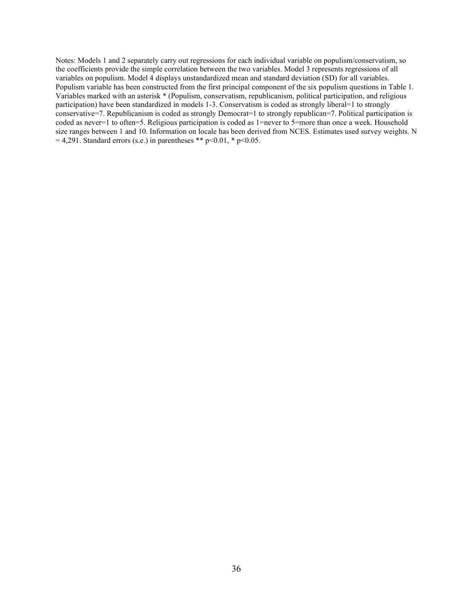Notes: Models 1 and 2 separately carry out regressions for each individual variable on populism/conservatism, so the coefficients provide the simple correlation between the two variables. Model 3 represents regressions of all variables on populism. Model 4 displays unstandardized mean and standard deviation (SD) for all variables. Populism variable has been constructed from the first principal component of the six populism questions in Table 1. Variables marked with an asterisk \* (Populism, conservatism, republicanism, political participation, and religious participation) have been standardized in models 1-3. Conservatism is coded as strongly liberal=1 to strongly conservative=7. Republicanism is coded as strongly Democrat=1 to strongly republican=7. Political participation is coded as never=1 to often=5. Religious participation is coded as 1=never to 5=more than once a week. Household size ranges between 1 and 10. Information on locale has been derived from NCES. Estimates used survey weights. N  $= 4,291$ . Standard errors (s.e.) in parentheses \*\* p<0.01, \* p<0.05.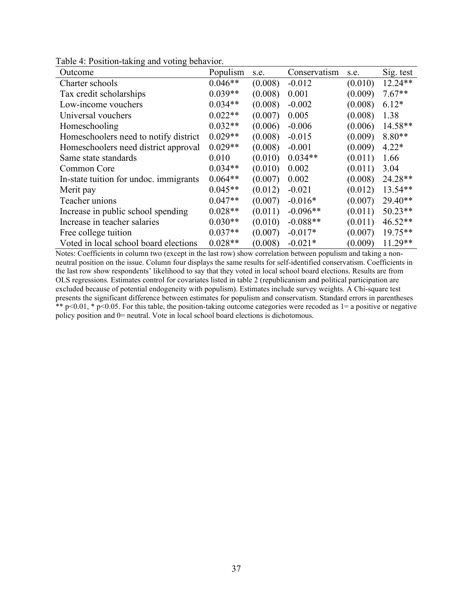| Outcome                                | Populism  | s.e.    | Conservatism | s.e.    | Sig. test |
|----------------------------------------|-----------|---------|--------------|---------|-----------|
| Charter schools                        | $0.046**$ | (0.008) | $-0.012$     | (0.010) | $12.24**$ |
| Tax credit scholarships                | $0.039**$ | (0.008) | 0.001        | (0.009) | $7.67**$  |
| Low-income vouchers                    | $0.034**$ | (0.008) | $-0.002$     | (0.008) | $6.12*$   |
| Universal vouchers                     | $0.022**$ | (0.007) | 0.005        | (0.008) | 1.38      |
| Homeschooling                          | $0.032**$ | (0.006) | $-0.006$     | (0.006) | $14.58**$ |
| Homeschoolers need to notify district  | $0.029**$ | (0.008) | $-0.015$     | (0.009) | $8.80**$  |
| Homeschoolers need district approval   | $0.029**$ | (0.008) | $-0.001$     | (0.009) | $4.22*$   |
| Same state standards                   | 0.010     | (0.010) | $0.034**$    | (0.011) | 1.66      |
| Common Core                            | $0.034**$ | (0.010) | 0.002        | (0.011) | 3.04      |
| In-state tuition for undoc. immigrants | $0.064**$ | (0.007) | 0.002        | (0.008) | 24.28**   |
| Merit pay                              | $0.045**$ | (0.012) | $-0.021$     | (0.012) | 13.54**   |
| Teacher unions                         | $0.047**$ | (0.007) | $-0.016*$    | (0.007) | 29.40**   |
| Increase in public school spending     | $0.028**$ | (0.011) | $-0.096**$   | (0.011) | $50.23**$ |
| Increase in teacher salaries           | $0.030**$ | (0.010) | $-0.088**$   | (0.011) | $46.52**$ |
| Free college tuition                   | $0.037**$ | (0.007) | $-0.017*$    | (0.007) | $19.75**$ |
| Voted in local school board elections  | $0.028**$ | (0.008) | $-0.021*$    | (0.009) | $11.29**$ |

Table 4: Position-taking and voting behavior.

Notes: Coefficients in column two (except in the last row) show correlation between populism and taking a nonneutral position on the issue. Column four displays the same results for self-identified conservatism. Coefficients in the last row show respondents' likelihood to say that they voted in local school board elections. Results are from OLS regressions. Estimates control for covariates listed in table 2 (republicanism and political participation are excluded because of potential endogeneity with populism). Estimates include survey weights. A Chi-square test presents the significant difference between estimates for populism and conservatism. Standard errors in parentheses \*\* p<0.01, \* p<0.05. For this table, the position-taking outcome categories were recoded as  $1=$  a positive or negative policy position and 0= neutral. Vote in local school board elections is dichotomous.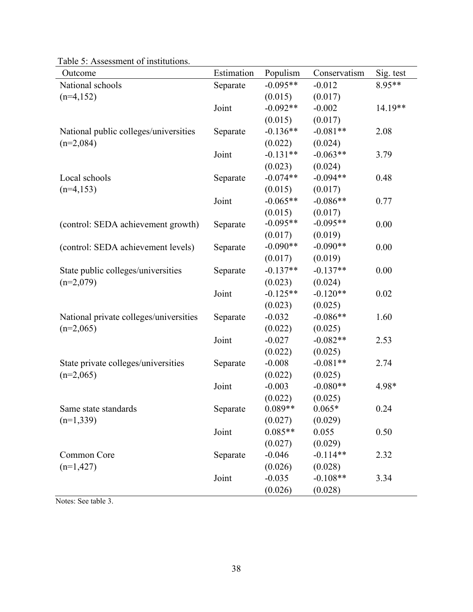| Outcome                                | Estimation | Populism   | Conservatism | Sig. test |
|----------------------------------------|------------|------------|--------------|-----------|
| National schools                       | Separate   | $-0.095**$ | $-0.012$     | 8.95**    |
| $(n=4,152)$                            |            | (0.015)    | (0.017)      |           |
|                                        | Joint      | $-0.092**$ | $-0.002$     | $14.19**$ |
|                                        |            | (0.015)    | (0.017)      |           |
| National public colleges/universities  | Separate   | $-0.136**$ | $-0.081**$   | 2.08      |
| $(n=2,084)$                            |            | (0.022)    | (0.024)      |           |
|                                        | Joint      | $-0.131**$ | $-0.063**$   | 3.79      |
|                                        |            | (0.023)    | (0.024)      |           |
| Local schools                          | Separate   | $-0.074**$ | $-0.094**$   | 0.48      |
| $(n=4,153)$                            |            | (0.015)    | (0.017)      |           |
|                                        | Joint      | $-0.065**$ | $-0.086**$   | 0.77      |
|                                        |            | (0.015)    | (0.017)      |           |
| (control: SEDA achievement growth)     | Separate   | $-0.095**$ | $-0.095**$   | 0.00      |
|                                        |            | (0.017)    | (0.019)      |           |
| (control: SEDA achievement levels)     | Separate   | $-0.090**$ | $-0.090**$   | 0.00      |
|                                        |            | (0.017)    | (0.019)      |           |
| State public colleges/universities     | Separate   | $-0.137**$ | $-0.137**$   | 0.00      |
| $(n=2,079)$                            |            | (0.023)    | (0.024)      |           |
|                                        | Joint      | $-0.125**$ | $-0.120**$   | 0.02      |
|                                        |            | (0.023)    | (0.025)      |           |
| National private colleges/universities | Separate   | $-0.032$   | $-0.086**$   | 1.60      |
| $(n=2,065)$                            |            | (0.022)    | (0.025)      |           |
|                                        | Joint      | $-0.027$   | $-0.082**$   | 2.53      |
|                                        |            | (0.022)    | (0.025)      |           |
| State private colleges/universities    | Separate   | $-0.008$   | $-0.081**$   | 2.74      |
| $(n=2,065)$                            |            | (0.022)    | (0.025)      |           |
|                                        | Joint      | $-0.003$   | $-0.080**$   | 4.98*     |
|                                        |            | (0.022)    | (0.025)      |           |
| Same state standards                   | Separate   | $0.089**$  | $0.065*$     | 0.24      |
| $(n=1,339)$                            |            | (0.027)    | (0.029)      |           |
|                                        | Joint      | $0.085**$  | 0.055        | 0.50      |
|                                        |            | (0.027)    | (0.029)      |           |
| Common Core                            | Separate   | $-0.046$   | $-0.114**$   | 2.32      |
| $(n=1,427)$                            |            | (0.026)    | (0.028)      |           |
|                                        | Joint      | $-0.035$   | $-0.108**$   | 3.34      |
|                                        |            | (0.026)    | (0.028)      |           |

Table 5: Assessment of institutions.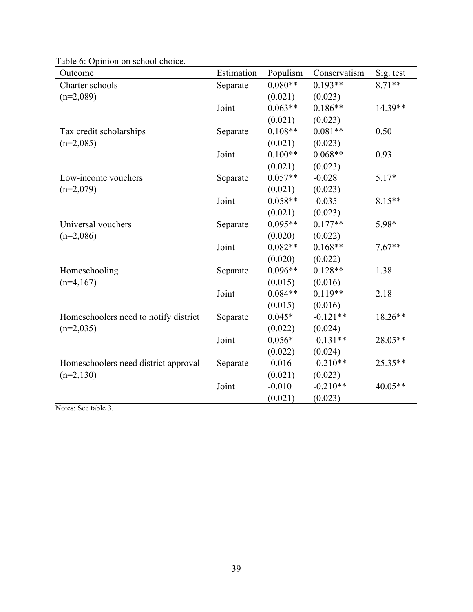| Outcome                               | Estimation | Populism  | Conservatism | Sig. test |
|---------------------------------------|------------|-----------|--------------|-----------|
| Charter schools                       | Separate   | $0.080**$ | $0.193**$    | $8.71**$  |
| $(n=2,089)$                           |            | (0.021)   | (0.023)      |           |
|                                       | Joint      | $0.063**$ | $0.186**$    | 14.39**   |
|                                       |            | (0.021)   | (0.023)      |           |
| Tax credit scholarships               | Separate   | $0.108**$ | $0.081**$    | 0.50      |
| $(n=2,085)$                           |            | (0.021)   | (0.023)      |           |
|                                       | Joint      | $0.100**$ | $0.068**$    | 0.93      |
|                                       |            | (0.021)   | (0.023)      |           |
| Low-income vouchers                   | Separate   | $0.057**$ | $-0.028$     | $5.17*$   |
| $(n=2,079)$                           |            | (0.021)   | (0.023)      |           |
|                                       | Joint      | $0.058**$ | $-0.035$     | $8.15**$  |
|                                       |            | (0.021)   | (0.023)      |           |
| Universal vouchers                    | Separate   | $0.095**$ | $0.177**$    | 5.98*     |
| $(n=2,086)$                           |            | (0.020)   | (0.022)      |           |
|                                       | Joint      | $0.082**$ | $0.168**$    | $7.67**$  |
|                                       |            | (0.020)   | (0.022)      |           |
| Homeschooling                         | Separate   | $0.096**$ | $0.128**$    | 1.38      |
| $(n=4,167)$                           |            | (0.015)   | (0.016)      |           |
|                                       | Joint      | $0.084**$ | $0.119**$    | 2.18      |
|                                       |            | (0.015)   | (0.016)      |           |
| Homeschoolers need to notify district | Separate   | $0.045*$  | $-0.121**$   | 18.26**   |
| $(n=2,035)$                           |            | (0.022)   | (0.024)      |           |
|                                       | Joint      | $0.056*$  | $-0.131**$   | 28.05**   |
|                                       |            | (0.022)   | (0.024)      |           |
| Homeschoolers need district approval  | Separate   | $-0.016$  | $-0.210**$   | 25.35**   |
| $(n=2,130)$                           |            | (0.021)   | (0.023)      |           |
|                                       | Joint      | $-0.010$  | $-0.210**$   | 40.05**   |
|                                       |            | (0.021)   | (0.023)      |           |

Table 6: Opinion on school choice.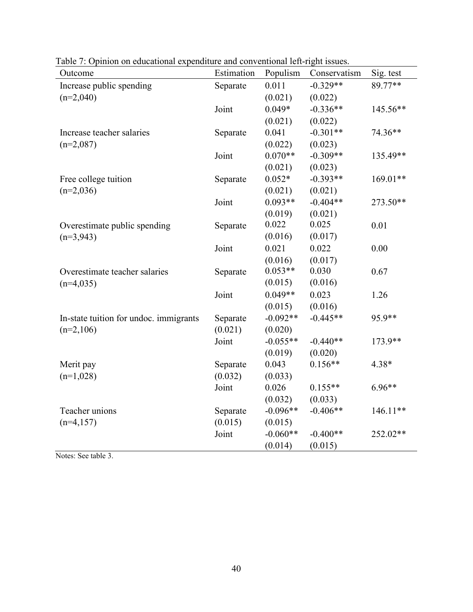| Outcome                                | Estimation | Populism   | Conservatism | Sig. test  |
|----------------------------------------|------------|------------|--------------|------------|
| Increase public spending               | Separate   | 0.011      | $-0.329**$   | 89.77**    |
| $(n=2,040)$                            |            | (0.021)    | (0.022)      |            |
|                                        | Joint      | $0.049*$   | $-0.336**$   | 145.56**   |
|                                        |            | (0.021)    | (0.022)      |            |
| Increase teacher salaries              | Separate   | 0.041      | $-0.301**$   | 74.36**    |
| $(n=2,087)$                            |            | (0.022)    | (0.023)      |            |
|                                        | Joint      | $0.070**$  | $-0.309**$   | 135.49**   |
|                                        |            | (0.021)    | (0.023)      |            |
| Free college tuition                   | Separate   | $0.052*$   | $-0.393**$   | 169.01**   |
| $(n=2,036)$                            |            | (0.021)    | (0.021)      |            |
|                                        | Joint      | $0.093**$  | $-0.404**$   | 273.50**   |
|                                        |            | (0.019)    | (0.021)      |            |
| Overestimate public spending           | Separate   | 0.022      | 0.025        | 0.01       |
| $(n=3,943)$                            |            | (0.016)    | (0.017)      |            |
|                                        | Joint      | 0.021      | 0.022        | 0.00       |
|                                        |            | (0.016)    | (0.017)      |            |
| Overestimate teacher salaries          | Separate   | $0.053**$  | 0.030        | 0.67       |
| $(n=4,035)$                            |            | (0.015)    | (0.016)      |            |
|                                        | Joint      | $0.049**$  | 0.023        | 1.26       |
|                                        |            | (0.015)    | (0.016)      |            |
| In-state tuition for undoc. immigrants | Separate   | $-0.092**$ | $-0.445**$   | 95.9**     |
| $(n=2,106)$                            | (0.021)    | (0.020)    |              |            |
|                                        | Joint      | $-0.055**$ | $-0.440**$   | 173.9**    |
|                                        |            | (0.019)    | (0.020)      |            |
| Merit pay                              | Separate   | 0.043      | $0.156**$    | 4.38*      |
| $(n=1,028)$                            | (0.032)    | (0.033)    |              |            |
|                                        | Joint      | 0.026      | $0.155**$    | $6.96**$   |
|                                        |            | (0.032)    | (0.033)      |            |
| Teacher unions                         | Separate   | $-0.096**$ | $-0.406**$   | $146.11**$ |
| $(n=4,157)$                            | (0.015)    | (0.015)    |              |            |
|                                        | Joint      | $-0.060**$ | $-0.400**$   | 252.02**   |
|                                        |            | (0.014)    | (0.015)      |            |

Table 7: Opinion on educational expenditure and conventional left-right issues.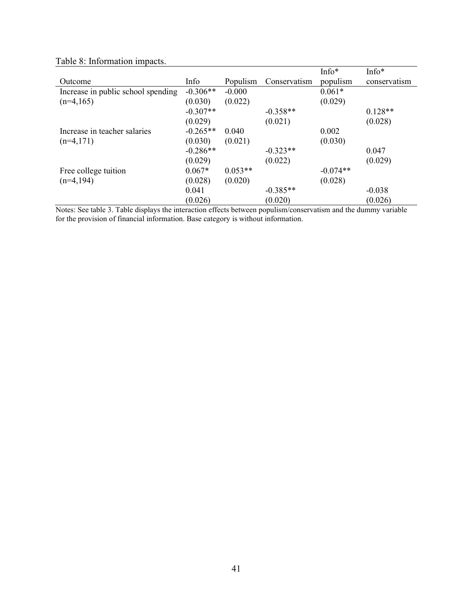|                                    |            |           |              | $Info*$    | Info*        |
|------------------------------------|------------|-----------|--------------|------------|--------------|
| Outcome                            | Info       | Populism  | Conservatism | populism   | conservatism |
| Increase in public school spending | $-0.306**$ | $-0.000$  |              | $0.061*$   |              |
| $(n=4,165)$                        | (0.030)    | (0.022)   |              | (0.029)    |              |
|                                    | $-0.307**$ |           | $-0.358**$   |            | $0.128**$    |
|                                    | (0.029)    |           | (0.021)      |            | (0.028)      |
| Increase in teacher salaries       | $-0.265**$ | 0.040     |              | 0.002      |              |
| $(n=4,171)$                        | (0.030)    | (0.021)   |              | (0.030)    |              |
|                                    | $-0.286**$ |           | $-0.323**$   |            | 0.047        |
|                                    | (0.029)    |           | (0.022)      |            | (0.029)      |
| Free college tuition               | $0.067*$   | $0.053**$ |              | $-0.074**$ |              |
| $(n=4,194)$                        | (0.028)    | (0.020)   |              | (0.028)    |              |
|                                    | 0.041      |           | $-0.385**$   |            | $-0.038$     |
|                                    | (0.026)    |           | (0.020)      |            | (0.026)      |

Table 8: Information impacts.

Notes: See table 3. Table displays the interaction effects between populism/conservatism and the dummy variable for the provision of financial information. Base category is without information.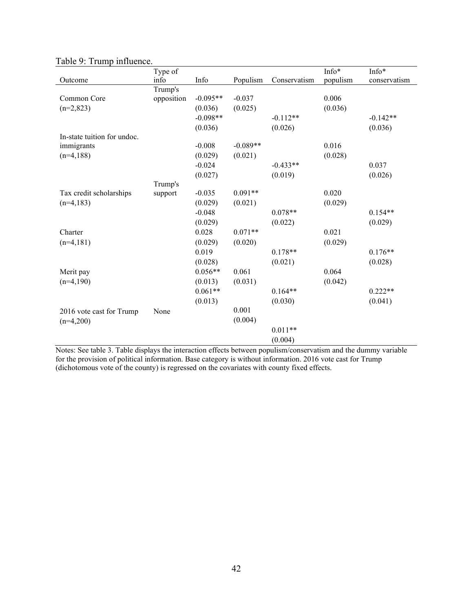|                             | Type of    |            |            |              | Info*    | Info*        |
|-----------------------------|------------|------------|------------|--------------|----------|--------------|
| Outcome                     | info       | Info       | Populism   | Conservatism | populism | conservatism |
|                             | Trump's    |            |            |              |          |              |
| Common Core                 | opposition | $-0.095**$ | $-0.037$   |              | 0.006    |              |
| $(n=2,823)$                 |            | (0.036)    | (0.025)    |              | (0.036)  |              |
|                             |            | $-0.098**$ |            | $-0.112**$   |          | $-0.142**$   |
|                             |            | (0.036)    |            | (0.026)      |          | (0.036)      |
| In-state tuition for undoc. |            |            |            |              |          |              |
| immigrants                  |            | $-0.008$   | $-0.089**$ |              | 0.016    |              |
| $(n=4,188)$                 |            | (0.029)    | (0.021)    |              | (0.028)  |              |
|                             |            | $-0.024$   |            | $-0.433**$   |          | 0.037        |
|                             |            | (0.027)    |            | (0.019)      |          | (0.026)      |
|                             | Trump's    |            |            |              |          |              |
| Tax credit scholarships     | support    | $-0.035$   | $0.091**$  |              | 0.020    |              |
| $(n=4,183)$                 |            | (0.029)    | (0.021)    |              | (0.029)  |              |
|                             |            | $-0.048$   |            | $0.078**$    |          | $0.154**$    |
|                             |            | (0.029)    |            | (0.022)      |          | (0.029)      |
| Charter                     |            | 0.028      | $0.071**$  |              | 0.021    |              |
| $(n=4,181)$                 |            | (0.029)    | (0.020)    |              | (0.029)  |              |
|                             |            | 0.019      |            | $0.178**$    |          | $0.176**$    |
|                             |            | (0.028)    |            | (0.021)      |          | (0.028)      |
| Merit pay                   |            | $0.056**$  | 0.061      |              | 0.064    |              |
| $(n=4,190)$                 |            | (0.013)    | (0.031)    |              | (0.042)  |              |
|                             |            | $0.061**$  |            | $0.164**$    |          | $0.222**$    |
|                             |            | (0.013)    |            | (0.030)      |          | (0.041)      |
| 2016 vote cast for Trump    | None       |            | 0.001      |              |          |              |
| $(n=4,200)$                 |            |            | (0.004)    |              |          |              |
|                             |            |            |            | $0.011**$    |          |              |
|                             |            |            |            | (0.004)      |          |              |

Table 9: Trump influence.

Notes: See table 3. Table displays the interaction effects between populism/conservatism and the dummy variable for the provision of political information. Base category is without information. 2016 vote cast for Trump (dichotomous vote of the county) is regressed on the covariates with county fixed effects.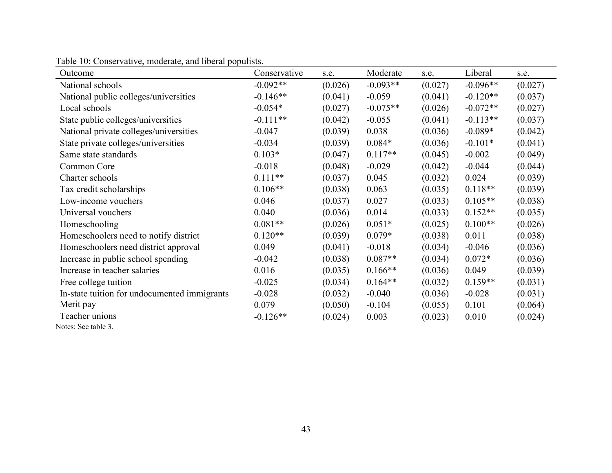| Outcome                                      | Conservative | s.e.    | Moderate   | s.e.    | Liberal    | s.e.    |
|----------------------------------------------|--------------|---------|------------|---------|------------|---------|
| National schools                             | $-0.092**$   | (0.026) | $-0.093**$ | (0.027) | $-0.096**$ | (0.027) |
| National public colleges/universities        | $-0.146**$   | (0.041) | $-0.059$   | (0.041) | $-0.120**$ | (0.037) |
| Local schools                                | $-0.054*$    | (0.027) | $-0.075**$ | (0.026) | $-0.072**$ | (0.027) |
| State public colleges/universities           | $-0.111**$   | (0.042) | $-0.055$   | (0.041) | $-0.113**$ | (0.037) |
| National private colleges/universities       | $-0.047$     | (0.039) | 0.038      | (0.036) | $-0.089*$  | (0.042) |
| State private colleges/universities          | $-0.034$     | (0.039) | $0.084*$   | (0.036) | $-0.101*$  | (0.041) |
| Same state standards                         | $0.103*$     | (0.047) | $0.117**$  | (0.045) | $-0.002$   | (0.049) |
| Common Core                                  | $-0.018$     | (0.048) | $-0.029$   | (0.042) | $-0.044$   | (0.044) |
| Charter schools                              | $0.111**$    | (0.037) | 0.045      | (0.032) | 0.024      | (0.039) |
| Tax credit scholarships                      | $0.106**$    | (0.038) | 0.063      | (0.035) | $0.118**$  | (0.039) |
| Low-income vouchers                          | 0.046        | (0.037) | 0.027      | (0.033) | $0.105**$  | (0.038) |
| Universal vouchers                           | 0.040        | (0.036) | 0.014      | (0.033) | $0.152**$  | (0.035) |
| Homeschooling                                | $0.081**$    | (0.026) | $0.051*$   | (0.025) | $0.100**$  | (0.026) |
| Homeschoolers need to notify district        | $0.120**$    | (0.039) | $0.079*$   | (0.038) | 0.011      | (0.038) |
| Homeschoolers need district approval         | 0.049        | (0.041) | $-0.018$   | (0.034) | $-0.046$   | (0.036) |
| Increase in public school spending           | $-0.042$     | (0.038) | $0.087**$  | (0.034) | $0.072*$   | (0.036) |
| Increase in teacher salaries                 | 0.016        | (0.035) | $0.166**$  | (0.036) | 0.049      | (0.039) |
| Free college tuition                         | $-0.025$     | (0.034) | $0.164**$  | (0.032) | $0.159**$  | (0.031) |
| In-state tuition for undocumented immigrants | $-0.028$     | (0.032) | $-0.040$   | (0.036) | $-0.028$   | (0.031) |
| Merit pay                                    | 0.079        | (0.050) | $-0.104$   | (0.055) | 0.101      | (0.064) |
| Teacher unions                               | $-0.126**$   | (0.024) | 0.003      | (0.023) | 0.010      | (0.024) |

Table 10: Conservative, moderate, and liberal populists.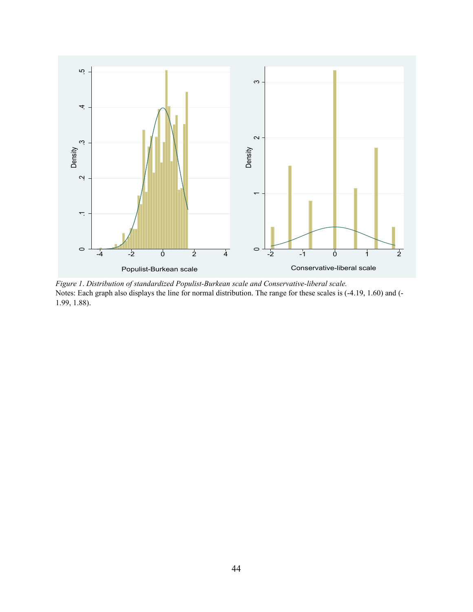

*Figure 1*. *Distribution of standardized Populist-Burkean scale and Conservative-liberal scale.* Notes: Each graph also displays the line for normal distribution. The range for these scales is (-4.19, 1.60) and (- 1.99, 1.88).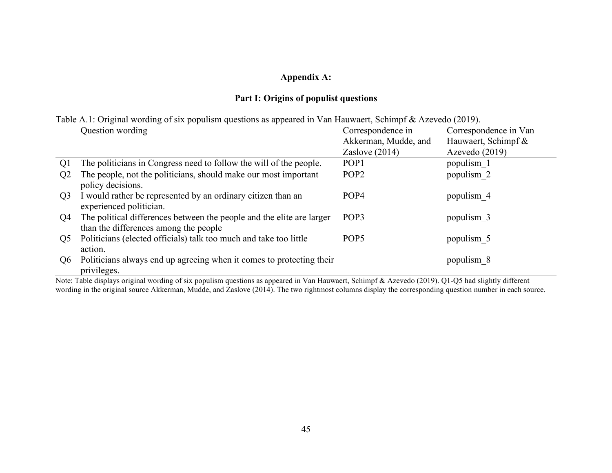# **Appendix A:**

# **Part I: Origins of populist questions**

| Table A.1: Original wording of six populism questions as appeared in Van Hauwaert, Schimpf & Azevedo (2019). |  |  |  |
|--------------------------------------------------------------------------------------------------------------|--|--|--|
|--------------------------------------------------------------------------------------------------------------|--|--|--|

|                | Question wording                                                                                               | Correspondence in    | Correspondence in Van |
|----------------|----------------------------------------------------------------------------------------------------------------|----------------------|-----------------------|
|                |                                                                                                                | Akkerman, Mudde, and | Hauwaert, Schimpf &   |
|                |                                                                                                                | Zaslove $(2014)$     | Azevedo (2019)        |
| Q1             | The politicians in Congress need to follow the will of the people.                                             | POP <sub>1</sub>     | populism 1            |
| Q <sub>2</sub> | The people, not the politicians, should make our most important<br>policy decisions.                           | POP <sub>2</sub>     | populism <sub>2</sub> |
| Q <sub>3</sub> | I would rather be represented by an ordinary citizen than an<br>experienced politician.                        | POP <sub>4</sub>     | populism 4            |
| Q4             | The political differences between the people and the elite are larger<br>than the differences among the people | POP <sub>3</sub>     | populism 3            |
| Q5             | Politicians (elected officials) talk too much and take too little<br>action.                                   | POP <sub>5</sub>     | populism 5            |
| Q6             | Politicians always end up agreeing when it comes to protecting their<br>privileges.                            |                      | populism 8            |

Note: Table displays original wording of six populism questions as appeared in Van Hauwaert, Schimpf & Azevedo (2019). Q1-Q5 had slightly different wording in the original source Akkerman, Mudde, and Zaslove (2014). The two rightmost columns display the corresponding question number in each source.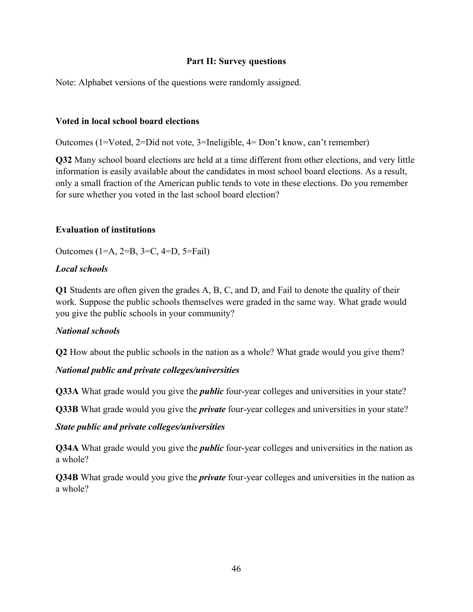### **Part II: Survey questions**

Note: Alphabet versions of the questions were randomly assigned.

# **Voted in local school board elections**

Outcomes (1=Voted, 2=Did not vote, 3=Ineligible, 4= Don't know, can't remember)

**Q32** Many school board elections are held at a time different from other elections, and very little information is easily available about the candidates in most school board elections. As a result, only a small fraction of the American public tends to vote in these elections. Do you remember for sure whether you voted in the last school board election?

# **Evaluation of institutions**

Outcomes (1=A, 2=B, 3=C, 4=D, 5=Fail)

# *Local schools*

**Q1** Students are often given the grades A, B, C, and D, and Fail to denote the quality of their work. Suppose the public schools themselves were graded in the same way. What grade would you give the public schools in your community?

# *National schools*

**Q2** How about the public schools in the nation as a whole? What grade would you give them?

# *National public and private colleges/universities*

**Q33A** What grade would you give the *public* four-year colleges and universities in your state?

**Q33B** What grade would you give the *private* four-year colleges and universities in your state?

### *State public and private colleges/universities*

**Q34A** What grade would you give the *public* four-year colleges and universities in the nation as a whole?

**Q34B** What grade would you give the *private* four-year colleges and universities in the nation as a whole?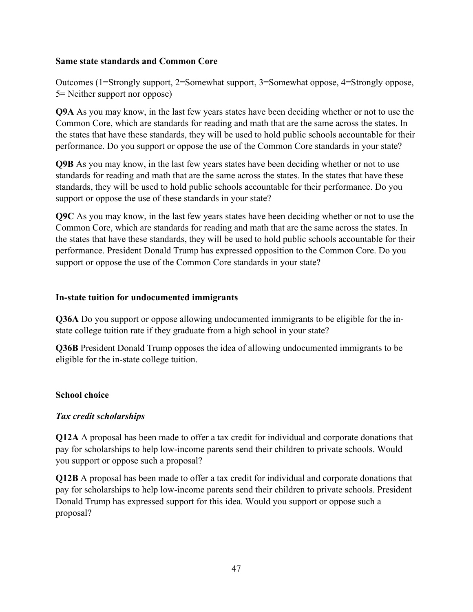# **Same state standards and Common Core**

Outcomes (1=Strongly support, 2=Somewhat support, 3=Somewhat oppose, 4=Strongly oppose, 5= Neither support nor oppose)

**Q9A** As you may know, in the last few years states have been deciding whether or not to use the Common Core, which are standards for reading and math that are the same across the states. In the states that have these standards, they will be used to hold public schools accountable for their performance. Do you support or oppose the use of the Common Core standards in your state?

**Q9B** As you may know, in the last few years states have been deciding whether or not to use standards for reading and math that are the same across the states. In the states that have these standards, they will be used to hold public schools accountable for their performance. Do you support or oppose the use of these standards in your state?

**Q9C** As you may know, in the last few years states have been deciding whether or not to use the Common Core, which are standards for reading and math that are the same across the states. In the states that have these standards, they will be used to hold public schools accountable for their performance. President Donald Trump has expressed opposition to the Common Core. Do you support or oppose the use of the Common Core standards in your state?

# **In-state tuition for undocumented immigrants**

**Q36A** Do you support or oppose allowing undocumented immigrants to be eligible for the instate college tuition rate if they graduate from a high school in your state?

**Q36B** President Donald Trump opposes the idea of allowing undocumented immigrants to be eligible for the in-state college tuition.

# **School choice**

# *Tax credit scholarships*

**Q12A** A proposal has been made to offer a tax credit for individual and corporate donations that pay for scholarships to help low-income parents send their children to private schools. Would you support or oppose such a proposal?

**Q12B** A proposal has been made to offer a tax credit for individual and corporate donations that pay for scholarships to help low-income parents send their children to private schools. President Donald Trump has expressed support for this idea. Would you support or oppose such a proposal?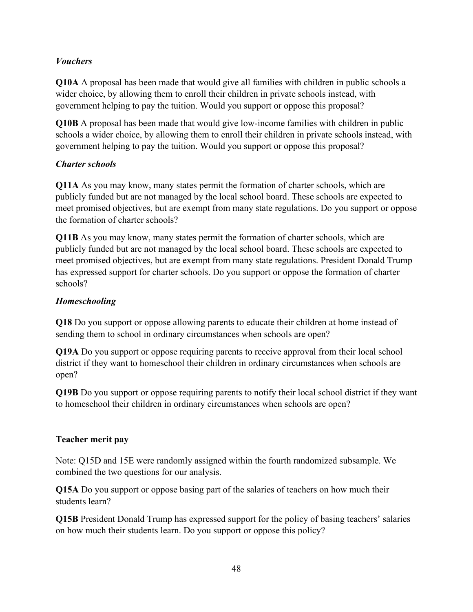# *Vouchers*

**Q10A** A proposal has been made that would give all families with children in public schools a wider choice, by allowing them to enroll their children in private schools instead, with government helping to pay the tuition. Would you support or oppose this proposal?

**Q10B** A proposal has been made that would give low-income families with children in public schools a wider choice, by allowing them to enroll their children in private schools instead, with government helping to pay the tuition. Would you support or oppose this proposal?

# *Charter schools*

**Q11A** As you may know, many states permit the formation of charter schools, which are publicly funded but are not managed by the local school board. These schools are expected to meet promised objectives, but are exempt from many state regulations. Do you support or oppose the formation of charter schools?

**Q11B** As you may know, many states permit the formation of charter schools, which are publicly funded but are not managed by the local school board. These schools are expected to meet promised objectives, but are exempt from many state regulations. President Donald Trump has expressed support for charter schools. Do you support or oppose the formation of charter schools?

# *Homeschooling*

**Q18** Do you support or oppose allowing parents to educate their children at home instead of sending them to school in ordinary circumstances when schools are open?

**Q19A** Do you support or oppose requiring parents to receive approval from their local school district if they want to homeschool their children in ordinary circumstances when schools are open?

**Q19B** Do you support or oppose requiring parents to notify their local school district if they want to homeschool their children in ordinary circumstances when schools are open?

# **Teacher merit pay**

Note: Q15D and 15E were randomly assigned within the fourth randomized subsample. We combined the two questions for our analysis.

**Q15A** Do you support or oppose basing part of the salaries of teachers on how much their students learn?

**Q15B** President Donald Trump has expressed support for the policy of basing teachers' salaries on how much their students learn. Do you support or oppose this policy?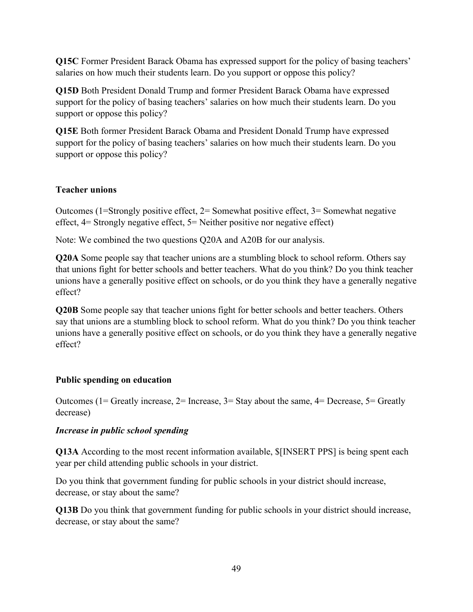**Q15C** Former President Barack Obama has expressed support for the policy of basing teachers' salaries on how much their students learn. Do you support or oppose this policy?

**Q15D** Both President Donald Trump and former President Barack Obama have expressed support for the policy of basing teachers' salaries on how much their students learn. Do you support or oppose this policy?

**Q15E** Both former President Barack Obama and President Donald Trump have expressed support for the policy of basing teachers' salaries on how much their students learn. Do you support or oppose this policy?

# **Teacher unions**

Outcomes (1=Strongly positive effect, 2= Somewhat positive effect, 3= Somewhat negative effect, 4= Strongly negative effect, 5= Neither positive nor negative effect)

Note: We combined the two questions Q20A and A20B for our analysis.

**Q20A** Some people say that teacher unions are a stumbling block to school reform. Others say that unions fight for better schools and better teachers. What do you think? Do you think teacher unions have a generally positive effect on schools, or do you think they have a generally negative effect?

**Q20B** Some people say that teacher unions fight for better schools and better teachers. Others say that unions are a stumbling block to school reform. What do you think? Do you think teacher unions have a generally positive effect on schools, or do you think they have a generally negative effect?

# **Public spending on education**

Outcomes (1= Greatly increase,  $2=$  Increase,  $3=$  Stay about the same,  $4=$  Decrease,  $5=$  Greatly decrease)

# *Increase in public school spending*

**Q13A** According to the most recent information available, \$[INSERT PPS] is being spent each year per child attending public schools in your district.

Do you think that government funding for public schools in your district should increase, decrease, or stay about the same?

**Q13B** Do you think that government funding for public schools in your district should increase, decrease, or stay about the same?